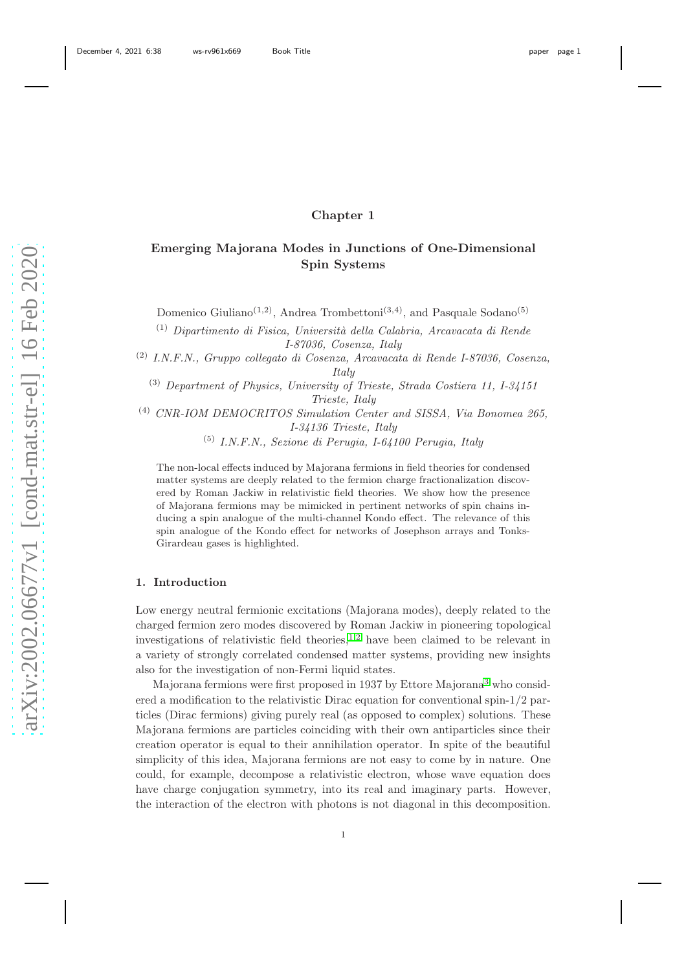## Chapter 1

# Emerging Majorana Modes in Junctions of One-Dimensional Spin Systems

Domenico Giuliano<sup>(1,2)</sup>, Andrea Trombettoni<sup>(3,4)</sup>, and Pasquale Sodano<sup>(5)</sup>

 $(1)$  Dipartimento di Fisica, Università della Calabria, Arcavacata di Rende I-87036, Cosenza, Italy

(2) I.N.F.N., Gruppo collegato di Cosenza, Arcavacata di Rende I-87036, Cosenza, Italy

(3) Department of Physics, University of Trieste, Strada Costiera 11, I-34151 Trieste, Italy

(4) CNR-IOM DEMOCRITOS Simulation Center and SISSA, Via Bonomea 265, I-34136 Trieste, Italy

(5) I.N.F.N., Sezione di Perugia, I-64100 Perugia, Italy

The non-local effects induced by Majorana fermions in field theories for condensed matter systems are deeply related to the fermion charge fractionalization discovered by Roman Jackiw in relativistic field theories. We show how the presence of Majorana fermions may be mimicked in pertinent networks of spin chains inducing a spin analogue of the multi-channel Kondo effect. The relevance of this spin analogue of the Kondo effect for networks of Josephson arrays and Tonks-Girardeau gases is highlighted.

## 1. Introduction

Low energy neutral fermionic excitations (Majorana modes), deeply related to the charged fermion zero modes discovered by Roman Jackiw in pioneering topological investigations of relativistic field theories,  $1,2$  $1,2$  have been claimed to be relevant in a variety of strongly correlated condensed matter systems, providing new insights also for the investigation of non-Fermi liquid states.

Majorana fermions were first proposed in 1937 by Ettore Majorana [3](#page-21-2) who considered a modification to the relativistic Dirac equation for conventional spin-1/2 particles (Dirac fermions) giving purely real (as opposed to complex) solutions. These Majorana fermions are particles coinciding with their own antiparticles since their creation operator is equal to their annihilation operator. In spite of the beautiful simplicity of this idea, Majorana fermions are not easy to come by in nature. One could, for example, decompose a relativistic electron, whose wave equation does have charge conjugation symmetry, into its real and imaginary parts. However, the interaction of the electron with photons is not diagonal in this decomposition.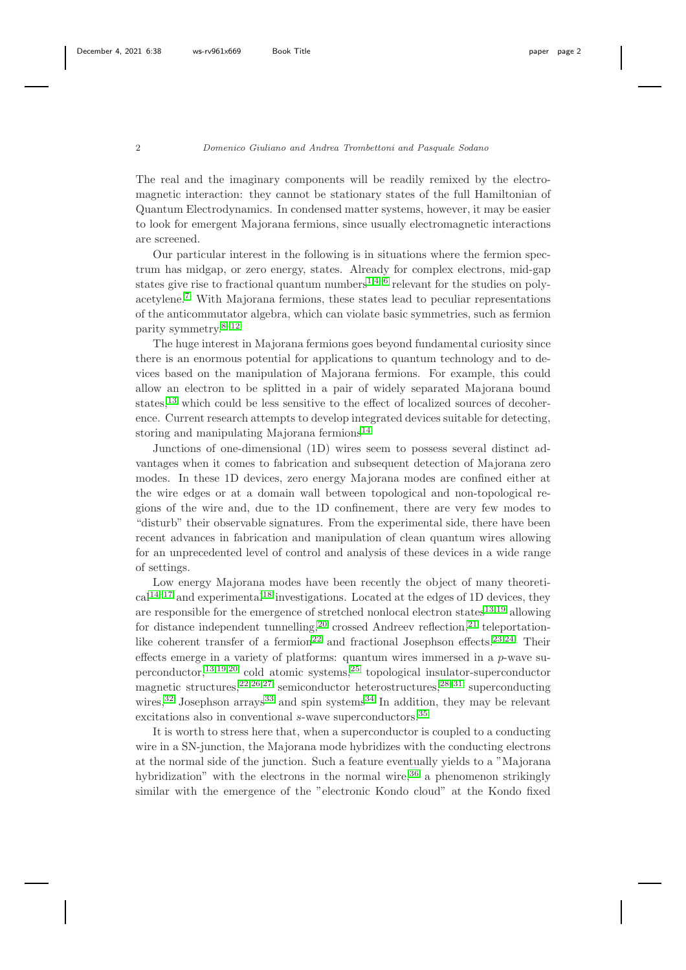The real and the imaginary components will be readily remixed by the electromagnetic interaction: they cannot be stationary states of the full Hamiltonian of Quantum Electrodynamics. In condensed matter systems, however, it may be easier to look for emergent Majorana fermions, since usually electromagnetic interactions are screened.

Our particular interest in the following is in situations where the fermion spectrum has midgap, or zero energy, states. Already for complex electrons, mid-gap states give rise to fractional quantum numbers<sup>[1](#page-21-0)[,4–](#page-21-3)[6](#page-21-4)</sup> relevant for the studies on polyacetylene.[7](#page-21-5) With Majorana fermions, these states lead to peculiar representations of the anticommutator algebra, which can violate basic symmetries, such as fermion parity symmetry.[8](#page-21-6)[–12](#page-21-7)

The huge interest in Majorana fermions goes beyond fundamental curiosity since there is an enormous potential for applications to quantum technology and to devices based on the manipulation of Majorana fermions. For example, this could allow an electron to be splitted in a pair of widely separated Majorana bound states,<sup>[13](#page-21-8)</sup> which could be less sensitive to the effect of localized sources of decoherence. Current research attempts to develop integrated devices suitable for detecting, storing and manipulating Majorana fermions $14$ 

Junctions of one-dimensional (1D) wires seem to possess several distinct advantages when it comes to fabrication and subsequent detection of Majorana zero modes. In these 1D devices, zero energy Majorana modes are confined either at the wire edges or at a domain wall between topological and non-topological regions of the wire and, due to the 1D confinement, there are very few modes to "disturb" their observable signatures. From the experimental side, there have been recent advances in fabrication and manipulation of clean quantum wires allowing for an unprecedented level of control and analysis of these devices in a wide range of settings.

Low energy Majorana modes have been recently the object of many theoreti- $cal^{14-17}$  $cal^{14-17}$  $cal^{14-17}$  and experimental<sup>[18](#page-21-11)</sup> investigations. Located at the edges of 1D devices, they are responsible for the emergence of stretched nonlocal electron states $13,19$  $13,19$  allowing for distance independent tunnelling,<sup>[20](#page-22-0)</sup> crossed Andreev reflection,<sup>[21](#page-22-1)</sup> teleportation-like coherent transfer of a fermion<sup>[22](#page-22-2)</sup> and fractional Josephson effects.<sup>[23](#page-22-3)[,24](#page-22-4)</sup> Their effects emerge in a variety of platforms: quantum wires immersed in a  $p$ -wave superconductor,  $13,19,20$  $13,19,20$  $13,19,20$  cold atomic systems,  $25$  topological insulator-superconductor magnetic structures,  $22,26,27$  $22,26,27$  $22,26,27$  semiconductor heterostructures,  $28-31$  $28-31$  superconducting wires,<sup>[32](#page-22-10)</sup> Josephson arrays<sup>[33](#page-22-11)</sup> and spin systems<sup>[34](#page-22-12)</sup> In addition, they may be relevant excitations also in conventional s-wave superconductors.<sup>[35](#page-22-13)</sup>

It is worth to stress here that, when a superconductor is coupled to a conducting wire in a SN-junction, the Majorana mode hybridizes with the conducting electrons at the normal side of the junction. Such a feature eventually yields to a "Majorana hybridization" with the electrons in the normal wire,  $36$  a phenomenon strikingly similar with the emergence of the "electronic Kondo cloud" at the Kondo fixed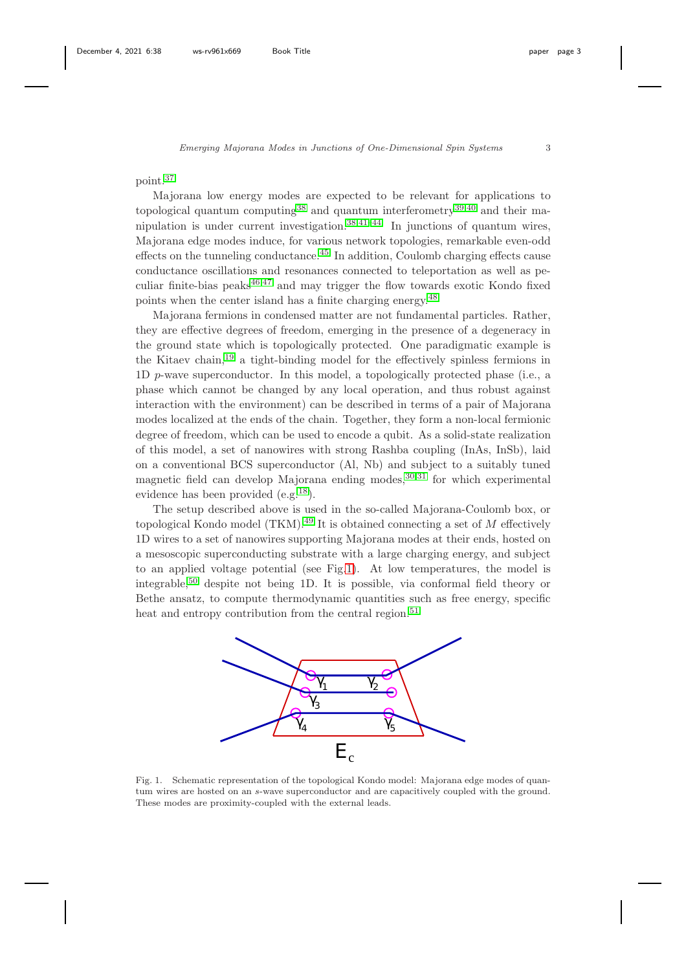## point.[37](#page-23-0)

Majorana low energy modes are expected to be relevant for applications to topological quantum computing<sup>[38](#page-23-1)</sup> and quantum interferometry<sup>[39](#page-23-2)[,40](#page-23-3)</sup> and their manipulation is under current investigation. $38,41-44$  $38,41-44$  $38,41-44$  In junctions of quantum wires, Majorana edge modes induce, for various network topologies, remarkable even-odd effects on the tunneling conductance.[45](#page-23-6) In addition, Coulomb charging effects cause conductance oscillations and resonances connected to teleportation as well as peculiar finite-bias peaks $46,47$  $46,47$  and may trigger the flow towards exotic Kondo fixed points when the center island has a finite charging energy.[48](#page-23-9)

Majorana fermions in condensed matter are not fundamental particles. Rather, they are effective degrees of freedom, emerging in the presence of a degeneracy in the ground state which is topologically protected. One paradigmatic example is the Kitaev chain,[19](#page-21-12) a tight-binding model for the effectively spinless fermions in 1D p-wave superconductor. In this model, a topologically protected phase (i.e., a phase which cannot be changed by any local operation, and thus robust against interaction with the environment) can be described in terms of a pair of Majorana modes localized at the ends of the chain. Together, they form a non-local fermionic degree of freedom, which can be used to encode a qubit. As a solid-state realization of this model, a set of nanowires with strong Rashba coupling (InAs, InSb), laid on a conventional BCS superconductor (Al, Nb) and subject to a suitably tuned magnetic field can develop Majorana ending modes,  $30,31$  $30,31$  for which experimental evidence has been provided (e.g.[18](#page-21-11)).

The setup described above is used in the so-called Majorana-Coulomb box, or topological Kondo model (TKM).<sup>[49](#page-23-10)</sup> It is obtained connecting a set of  $M$  effectively 1D wires to a set of nanowires supporting Majorana modes at their ends, hosted on a mesoscopic superconducting substrate with a large charging energy, and subject to an applied voltage potential (see Fig[.1\)](#page-2-0). At low temperatures, the model is integrable,<sup>[50](#page-23-11)</sup> despite not being 1D. It is possible, via conformal field theory or Bethe ansatz, to compute thermodynamic quantities such as free energy, specific heat and entropy contribution from the central region.<sup>[51](#page-23-12)</sup>



<span id="page-2-0"></span>Fig. 1. Schematic representation of the topological Kondo model: Majorana edge modes of quantum wires are hosted on an s-wave superconductor and are capacitively coupled with the ground. These modes are proximity-coupled with the external leads.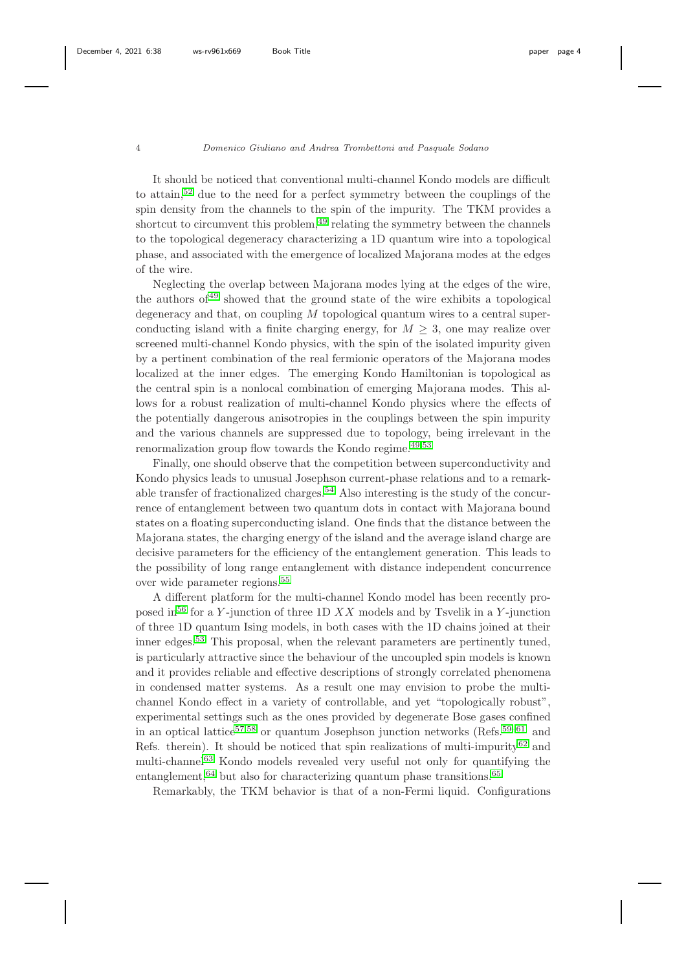It should be noticed that conventional multi-channel Kondo models are difficult to attain,[52](#page-23-13) due to the need for a perfect symmetry between the couplings of the spin density from the channels to the spin of the impurity. The TKM provides a shortcut to circumvent this problem, $49$  relating the symmetry between the channels to the topological degeneracy characterizing a 1D quantum wire into a topological phase, and associated with the emergence of localized Majorana modes at the edges of the wire.

Neglecting the overlap between Majorana modes lying at the edges of the wire, the authors of  $49$  showed that the ground state of the wire exhibits a topological degeneracy and that, on coupling  $M$  topological quantum wires to a central superconducting island with a finite charging energy, for  $M \geq 3$ , one may realize over screened multi-channel Kondo physics, with the spin of the isolated impurity given by a pertinent combination of the real fermionic operators of the Majorana modes localized at the inner edges. The emerging Kondo Hamiltonian is topological as the central spin is a nonlocal combination of emerging Majorana modes. This allows for a robust realization of multi-channel Kondo physics where the effects of the potentially dangerous anisotropies in the couplings between the spin impurity and the various channels are suppressed due to topology, being irrelevant in the renormalization group flow towards the Kondo regime. $49,53$  $49,53$ 

Finally, one should observe that the competition between superconductivity and Kondo physics leads to unusual Josephson current-phase relations and to a remark-able transfer of fractionalized charges.<sup>[54](#page-23-15)</sup> Also interesting is the study of the concurrence of entanglement between two quantum dots in contact with Majorana bound states on a floating superconducting island. One finds that the distance between the Majorana states, the charging energy of the island and the average island charge are decisive parameters for the efficiency of the entanglement generation. This leads to the possibility of long range entanglement with distance independent concurrence over wide parameter regions.[55](#page-24-0)

A different platform for the multi-channel Kondo model has been recently pro-posed in<sup>[56](#page-24-1)</sup> for a Y-junction of three 1D  $XX$  models and by Tsvelik in a Y-junction of three 1D quantum Ising models, in both cases with the 1D chains joined at their inner edges.<sup>[53](#page-23-14)</sup> This proposal, when the relevant parameters are pertinently tuned, is particularly attractive since the behaviour of the uncoupled spin models is known and it provides reliable and effective descriptions of strongly correlated phenomena in condensed matter systems. As a result one may envision to probe the multichannel Kondo effect in a variety of controllable, and yet "topologically robust", experimental settings such as the ones provided by degenerate Bose gases confined in an optical lattice<sup>[57,](#page-24-2)[58](#page-24-3)</sup> or quantum Josephson junction networks (Refs.<sup>[59–](#page-24-4)[61](#page-24-5)</sup> and Refs. therein). It should be noticed that spin realizations of multi-impurity<sup>[62](#page-24-6)</sup> and multi-channel<sup>[63](#page-24-7)</sup> Kondo models revealed very useful not only for quantifying the entanglement,  $64$  but also for characterizing quantum phase transitions.  $65$ 

Remarkably, the TKM behavior is that of a non-Fermi liquid. Configurations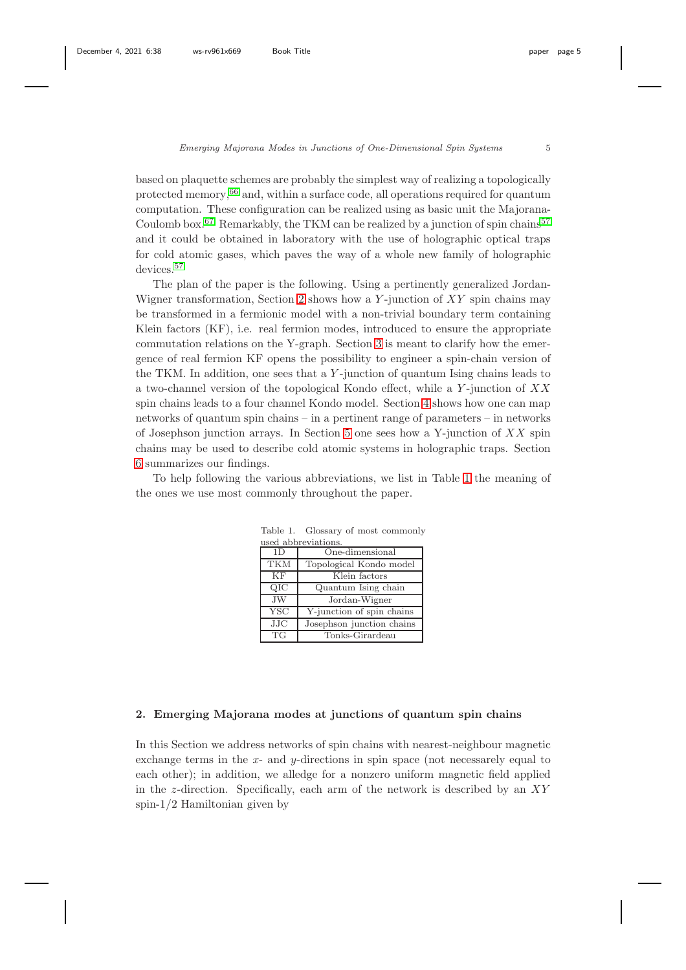based on plaquette schemes are probably the simplest way of realizing a topologically protected memory,<sup>[66](#page-24-10)</sup> and, within a surface code, all operations required for quantum computation. These configuration can be realized using as basic unit the Majorana-Coulomb box.<sup>[67](#page-24-11)</sup> Remarkably, the TKM can be realized by a junction of spin chains<sup>[57](#page-24-2)</sup> and it could be obtained in laboratory with the use of holographic optical traps for cold atomic gases, which paves the way of a whole new family of holographic devices.<sup>[57](#page-24-2)</sup>

The plan of the paper is the following. Using a pertinently generalized Jordan-Wigner transformation, Section [2](#page-4-0) shows how a Y-junction of  $XY$  spin chains may be transformed in a fermionic model with a non-trivial boundary term containing Klein factors (KF), i.e. real fermion modes, introduced to ensure the appropriate commutation relations on the Y-graph. Section [3](#page-8-0) is meant to clarify how the emergence of real fermion KF opens the possibility to engineer a spin-chain version of the TKM. In addition, one sees that a  $Y$ -junction of quantum Ising chains leads to a two-channel version of the topological Kondo effect, while a  $Y$ -junction of  $XX$ spin chains leads to a four channel Kondo model. Section [4](#page-13-0) shows how one can map networks of quantum spin chains – in a pertinent range of parameters – in networks of Josephson junction arrays. In Section [5](#page-17-0) one sees how a Y-junction of  $XX$  spin chains may be used to describe cold atomic systems in holographic traps. Section [6](#page-20-0) summarizes our findings.

To help following the various abbreviations, we list in Table [1](#page-4-1) the meaning of the ones we use most commonly throughout the paper.

<span id="page-4-1"></span>

| used abbreviations. |                           |
|---------------------|---------------------------|
| 1 <sub>D</sub>      | One-dimensional           |
| <b>TKM</b>          | Topological Kondo model   |
| KF                  | Klein factors             |
| OIC                 | Quantum Ising chain       |
| <b>JW</b>           | Jordan-Wigner             |
| <b>YSC</b>          | Y-junction of spin chains |
| JJC                 | Josephson junction chains |
| <b>TG</b>           | Tonks-Girardeau           |

Table 1. Glossary of most commonly

## <span id="page-4-0"></span>2. Emerging Majorana modes at junctions of quantum spin chains

In this Section we address networks of spin chains with nearest-neighbour magnetic exchange terms in the  $x$ - and  $y$ -directions in spin space (not necessarely equal to each other); in addition, we alledge for a nonzero uniform magnetic field applied in the z-direction. Specifically, each arm of the network is described by an  $XY$ spin-1/2 Hamiltonian given by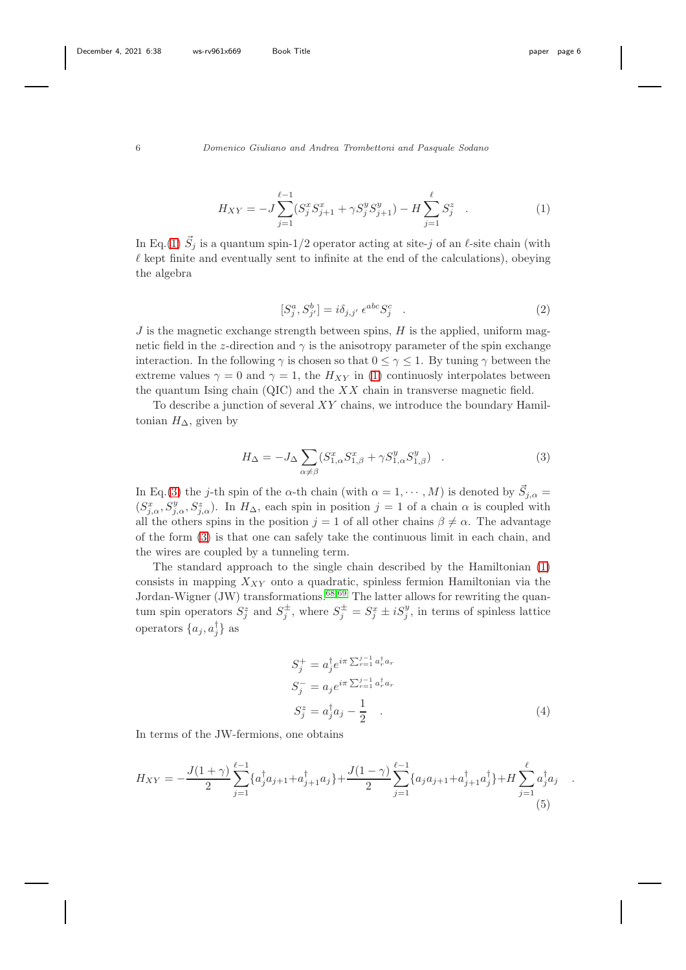<span id="page-5-0"></span>
$$
H_{XY} = -J\sum_{j=1}^{\ell-1} (S_j^x S_{j+1}^x + \gamma S_j^y S_{j+1}^y) - H\sum_{j=1}^{\ell} S_j^z \quad . \tag{1}
$$

In Eq.[\(1\)](#page-5-0)  $\vec{S}_j$  is a quantum spin-1/2 operator acting at site-j of an  $\ell$ -site chain (with  $\ell$  kept finite and eventually sent to infinite at the end of the calculations), obeying the algebra

$$
[S_j^a, S_{j'}^b] = i\delta_{j,j'} \epsilon^{abc} S_j^c \quad . \tag{2}
$$

 $J$  is the magnetic exchange strength between spins,  $H$  is the applied, uniform magnetic field in the z-direction and  $\gamma$  is the anisotropy parameter of the spin exchange interaction. In the following  $\gamma$  is chosen so that  $0 \leq \gamma \leq 1$ . By tuning  $\gamma$  between the extreme values  $\gamma = 0$  and  $\gamma = 1$ , the  $H_{XY}$  in [\(1\)](#page-5-0) continuosly interpolates between the quantum Ising chain  $(QIC)$  and the XX chain in transverse magnetic field.

To describe a junction of several  $XY$  chains, we introduce the boundary Hamiltonian  $H_{\Delta}$ , given by

<span id="page-5-1"></span>
$$
H_{\Delta} = -J_{\Delta} \sum_{\alpha \neq \beta} (S_{1,\alpha}^x S_{1,\beta}^x + \gamma S_{1,\alpha}^y S_{1,\beta}^y) \quad . \tag{3}
$$

In Eq.[\(3\)](#page-5-1) the *j*-th spin of the  $\alpha$ -th chain (with  $\alpha = 1, \dots, M$ ) is denoted by  $\vec{S}_{j,\alpha} =$  $(S_{j,\alpha}^x, S_{j,\alpha}^y, S_{j,\alpha}^z)$ . In  $H_{\Delta}$ , each spin in position  $j=1$  of a chain  $\alpha$  is coupled with all the others spins in the position  $j = 1$  of all other chains  $\beta \neq \alpha$ . The advantage of the form [\(3\)](#page-5-1) is that one can safely take the continuous limit in each chain, and the wires are coupled by a tunneling term.

The standard approach to the single chain described by the Hamiltonian [\(1\)](#page-5-0) consists in mapping  $X_{XY}$  onto a quadratic, spinless fermion Hamiltonian via the Jordan-Wigner (JW) transformations.<sup>[68,](#page-24-12)[69](#page-24-13)</sup> The latter allows for rewriting the quantum spin operators  $S_j^z$  and  $S_j^{\pm}$ , where  $S_j^{\pm} = S_j^x \pm iS_j^y$ , in terms of spinless lattice operators  $\{a_j, a_j^{\dagger}\}\$ as

<span id="page-5-3"></span>
$$
S_j^+ = a_j^{\dagger} e^{i\pi \sum_{r=1}^{j-1} a_r^{\dagger} a_r}
$$
  
\n
$$
S_j^- = a_j e^{i\pi \sum_{r=1}^{j-1} a_r^{\dagger} a_r}
$$
  
\n
$$
S_j^z = a_j^{\dagger} a_j - \frac{1}{2}
$$
 (4)

In terms of the JW-fermions, one obtains

<span id="page-5-2"></span>
$$
H_{XY} = -\frac{J(1+\gamma)}{2} \sum_{j=1}^{\ell-1} \{a_j^{\dagger} a_{j+1} + a_{j+1}^{\dagger} a_j\} + \frac{J(1-\gamma)}{2} \sum_{j=1}^{\ell-1} \{a_j a_{j+1} + a_{j+1}^{\dagger} a_j^{\dagger}\} + H \sum_{j=1}^{\ell} a_j^{\dagger} a_j
$$
(5)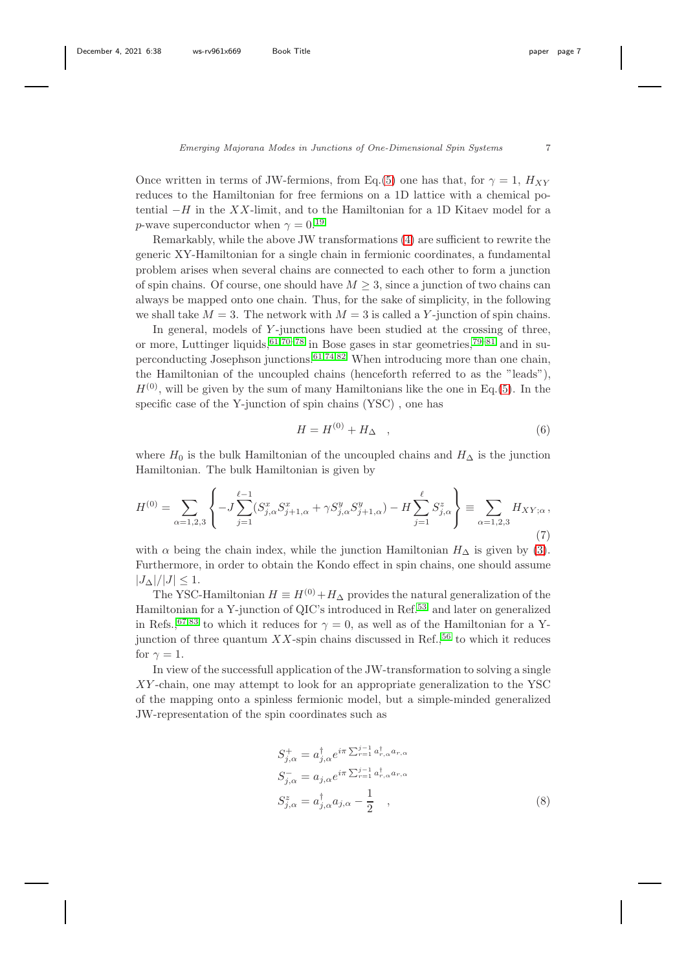Once written in terms of JW-fermions, from Eq.[\(5\)](#page-5-2) one has that, for  $\gamma = 1$ ,  $H_{XY}$ reduces to the Hamiltonian for free fermions on a 1D lattice with a chemical potential  $-H$  in the XX-limit, and to the Hamiltonian for a 1D Kitaev model for a *p*-wave superconductor when  $\gamma = 0.19$  $\gamma = 0.19$ 

Remarkably, while the above JW transformations [\(4\)](#page-5-3) are sufficient to rewrite the generic XY-Hamiltonian for a single chain in fermionic coordinates, a fundamental problem arises when several chains are connected to each other to form a junction of spin chains. Of course, one should have  $M \geq 3$ , since a junction of two chains can always be mapped onto one chain. Thus, for the sake of simplicity, in the following we shall take  $M = 3$ . The network with  $M = 3$  is called a Y-junction of spin chains.

In general, models of  $Y$ -junctions have been studied at the crossing of three, or more, Luttinger liquids,  $61,70-78$  $61,70-78$  $61,70-78$  in Bose gases in star geometries,  $79-81$  $79-81$  and in su-perconducting Josephson junctions.<sup>[61,](#page-24-5)[74,](#page-25-3)[82](#page-25-4)</sup> When introducing more than one chain, the Hamiltonian of the uncoupled chains (henceforth referred to as the "leads"),  $H^{(0)}$ , will be given by the sum of many Hamiltonians like the one in Eq.[\(5\)](#page-5-2). In the specific case of the Y-junction of spin chains (YSC) , one has

$$
H = H^{(0)} + H_{\Delta} \quad , \tag{6}
$$

where  $H_0$  is the bulk Hamiltonian of the uncoupled chains and  $H_{\Delta}$  is the junction Hamiltonian. The bulk Hamiltonian is given by

<span id="page-6-1"></span>
$$
H^{(0)} = \sum_{\alpha=1,2,3} \left\{ -J \sum_{j=1}^{\ell-1} (S_{j,\alpha}^x S_{j+1,\alpha}^x + \gamma S_{j,\alpha}^y S_{j+1,\alpha}^y) - H \sum_{j=1}^{\ell} S_{j,\alpha}^z \right\} \equiv \sum_{\alpha=1,2,3} H_{XY;\alpha},\tag{7}
$$

with  $\alpha$  being the chain index, while the junction Hamiltonian  $H_{\Delta}$  is given by [\(3\)](#page-5-1). Furthermore, in order to obtain the Kondo effect in spin chains, one should assume  $|J_\Delta|/|J| \leq 1.$ 

The YSC-Hamiltonian  $H \equiv H^{(0)} + H_{\Delta}$  provides the natural generalization of the Hamiltonian for a Y-junction of QIC's introduced in Ref.[53](#page-23-14) and later on generalized in Refs.,<sup>[67,](#page-24-11)[83](#page-25-5)</sup> to which it reduces for  $\gamma = 0$ , as well as of the Hamiltonian for a Yjunction of three quantum  $XX$ -spin chains discussed in Ref.,<sup>[56](#page-24-1)</sup> to which it reduces for  $\gamma = 1$ .

In view of the successfull application of the JW-transformation to solving a single XY -chain, one may attempt to look for an appropriate generalization to the YSC of the mapping onto a spinless fermionic model, but a simple-minded generalized JW-representation of the spin coordinates such as

<span id="page-6-0"></span>
$$
S_{j,\alpha}^{+} = a_{j,\alpha}^{\dagger} e^{i\pi \sum_{r=1}^{j-1} a_{r,\alpha}^{\dagger} a_{r,\alpha}}
$$
  
\n
$$
S_{j,\alpha}^{-} = a_{j,\alpha} e^{i\pi \sum_{r=1}^{j-1} a_{r,\alpha}^{\dagger} a_{r,\alpha}}
$$
  
\n
$$
S_{j,\alpha}^{z} = a_{j,\alpha}^{\dagger} a_{j,\alpha} - \frac{1}{2} ,
$$
\n(8)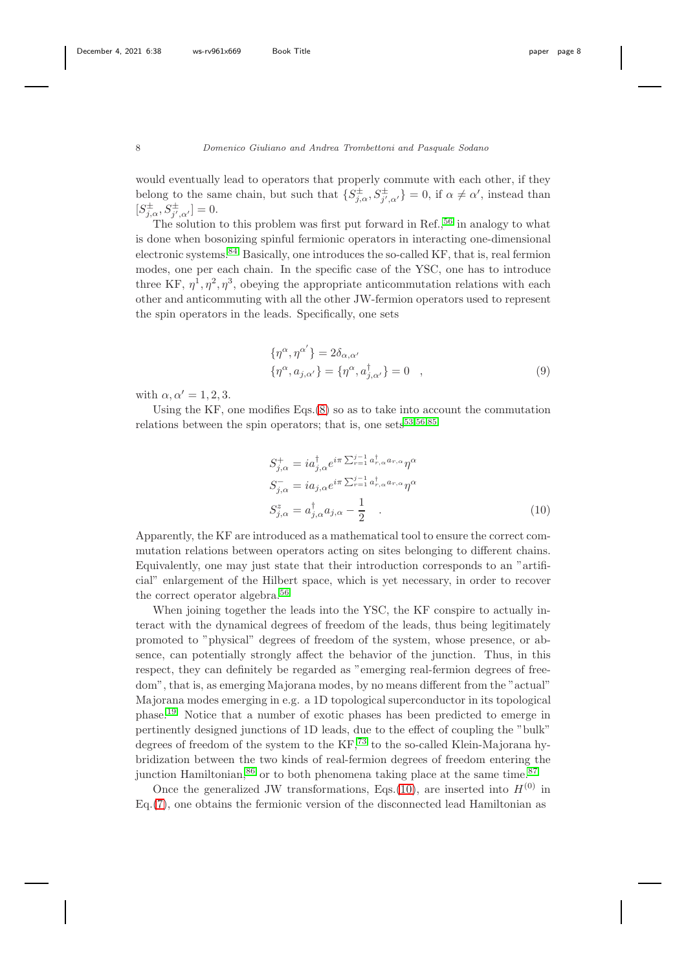would eventually lead to operators that properly commute with each other, if they belong to the same chain, but such that  $\{S_{j,\alpha}^{\pm}, S_{j',\alpha'}^{\pm}\} = 0$ , if  $\alpha \neq \alpha'$ , instead than  $[S_{j,\alpha}^{\pm}, S_{j',\alpha'}^{\pm}] = 0.$ 

The solution to this problem was first put forward in Ref.,<sup>[56](#page-24-1)</sup> in analogy to what is done when bosonizing spinful fermionic operators in interacting one-dimensional electronic systems.  $84$  Basically, one introduces the so-called KF, that is, real fermion modes, one per each chain. In the specific case of the YSC, one has to introduce three KF,  $\eta^1, \eta^2, \eta^3$ , obeying the appropriate anticommutation relations with each other and anticommuting with all the other JW-fermion operators used to represent the spin operators in the leads. Specifically, one sets

$$
\{\eta^{\alpha}, \eta^{\alpha'}\} = 2\delta_{\alpha,\alpha'}
$$
  

$$
\{\eta^{\alpha}, a_{j,\alpha'}\} = \{\eta^{\alpha}, a_{j,\alpha'}^{\dagger}\} = 0 \quad , \tag{9}
$$

with  $\alpha, \alpha' = 1, 2, 3$ .

Using the KF, one modifies Eqs.[\(8\)](#page-6-0) so as to take into account the commutation relations between the spin operators; that is, one sets  $53,56,85$  $53,56,85$  $53,56,85$ 

<span id="page-7-0"></span>
$$
S_{j,\alpha}^{+} = ia_{j,\alpha}^{\dagger} e^{i\pi \sum_{r=1}^{j-1} a_{r,\alpha}^{\dagger} a_{r,\alpha}} \eta^{\alpha}
$$
  
\n
$$
S_{j,\alpha}^{-} = ia_{j,\alpha} e^{i\pi \sum_{r=1}^{j-1} a_{r,\alpha}^{\dagger} a_{r,\alpha}} \eta^{\alpha}
$$
  
\n
$$
S_{j,\alpha}^{z} = a_{j,\alpha}^{\dagger} a_{j,\alpha} - \frac{1}{2} .
$$
\n(10)

Apparently, the KF are introduced as a mathematical tool to ensure the correct commutation relations between operators acting on sites belonging to different chains. Equivalently, one may just state that their introduction corresponds to an "artificial" enlargement of the Hilbert space, which is yet necessary, in order to recover the correct operator algebra.[56](#page-24-1)

When joining together the leads into the YSC, the KF conspire to actually interact with the dynamical degrees of freedom of the leads, thus being legitimately promoted to "physical" degrees of freedom of the system, whose presence, or absence, can potentially strongly affect the behavior of the junction. Thus, in this respect, they can definitely be regarded as "emerging real-fermion degrees of freedom", that is, as emerging Majorana modes, by no means different from the "actual" Majorana modes emerging in e.g. a 1D topological superconductor in its topological phase.[19](#page-21-12) Notice that a number of exotic phases has been predicted to emerge in pertinently designed junctions of 1D leads, due to the effect of coupling the "bulk" degrees of freedom of the system to the KF,<sup>[73](#page-25-8)</sup> to the so-called Klein-Majorana hybridization between the two kinds of real-fermion degrees of freedom entering the junction Hamiltonian,  $86$  or to both phenomena taking place at the same time.  $87$ 

Once the generalized JW transformations, Eqs.[\(10\)](#page-7-0), are inserted into  $H^{(0)}$  in Eq.[\(7\)](#page-6-1), one obtains the fermionic version of the disconnected lead Hamiltonian as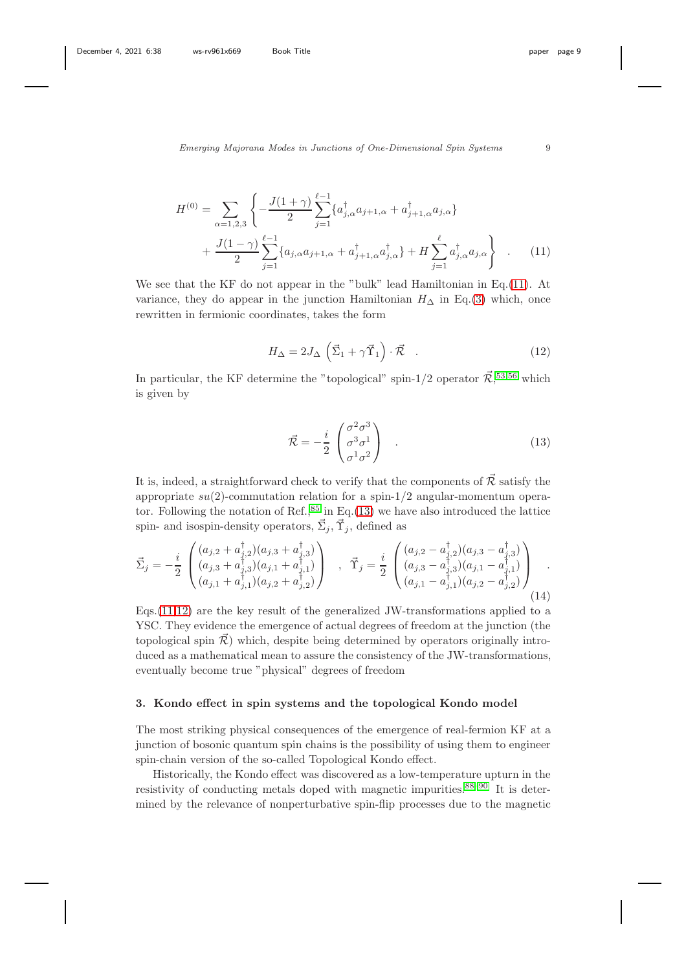<span id="page-8-1"></span>
$$
H^{(0)} = \sum_{\alpha=1,2,3} \left\{ -\frac{J(1+\gamma)}{2} \sum_{j=1}^{\ell-1} \{ a_{j,\alpha}^{\dagger} a_{j+1,\alpha} + a_{j+1,\alpha}^{\dagger} a_{j,\alpha} \} + \frac{J(1-\gamma)}{2} \sum_{j=1}^{\ell-1} \{ a_{j,\alpha} a_{j+1,\alpha} + a_{j+1,\alpha}^{\dagger} a_{j,\alpha}^{\dagger} \} + H \sum_{j=1}^{\ell} a_{j,\alpha}^{\dagger} a_{j,\alpha} \right\} .
$$
 (11)

We see that the KF do not appear in the "bulk" lead Hamiltonian in Eq.[\(11\)](#page-8-1). At variance, they do appear in the junction Hamiltonian  $H_{\Delta}$  in Eq.[\(3\)](#page-5-1) which, once rewritten in fermionic coordinates, takes the form

<span id="page-8-3"></span>
$$
H_{\Delta} = 2J_{\Delta} \left( \vec{\Sigma}_1 + \gamma \vec{\Upsilon}_1 \right) \cdot \vec{\mathcal{R}} \quad . \tag{12}
$$

In particular, the KF determine the "topological" spin-1/2 operator  $\vec{\mathcal{R}}$ ,<sup>[53,](#page-23-14)[56](#page-24-1)</sup> which is given by

<span id="page-8-2"></span>
$$
\vec{\mathcal{R}} = -\frac{i}{2} \begin{pmatrix} \sigma^2 \sigma^3 \\ \sigma^3 \sigma^1 \\ \sigma^1 \sigma^2 \end{pmatrix} . \tag{13}
$$

It is, indeed, a straightforward check to verify that the components of  $\vec{\mathcal{R}}$  satisfy the appropriate  $su(2)$ -commutation relation for a spin-1/2 angular-momentum operator. Following the notation of Ref.,  $85$  in Eq.[\(13\)](#page-8-2) we have also introduced the lattice spin- and isospin-density operators,  $\vec{\Sigma}_j, \vec{\Upsilon}_j$ , defined as

$$
\vec{\Sigma}_j = -\frac{i}{2} \begin{pmatrix} (a_{j,2} + a_{j,2}^\dagger)(a_{j,3} + a_{j,3}^\dagger) \\ (a_{j,3} + a_{j,3}^\dagger)(a_{j,1} + a_{j,1}^\dagger) \\ (a_{j,1} + a_{j,1}^\dagger)(a_{j,2} + a_{j,2}^\dagger) \end{pmatrix} , \ \ \vec{\Upsilon}_j = \frac{i}{2} \begin{pmatrix} (a_{j,2} - a_{j,2}^\dagger)(a_{j,3} - a_{j,3}^\dagger) \\ (a_{j,3} - a_{j,3}^\dagger)(a_{j,1} - a_{j,1}^\dagger) \\ (a_{j,1} - a_{j,1}^\dagger)(a_{j,2} - a_{j,2}^\dagger) \end{pmatrix} .
$$
\n(14)

Eqs.[\(11](#page-8-1)[,12\)](#page-8-3) are the key result of the generalized JW-transformations applied to a YSC. They evidence the emergence of actual degrees of freedom at the junction (the topological spin  $\mathcal{R}$  ) which, despite being determined by operators originally introduced as a mathematical mean to assure the consistency of the JW-transformations, eventually become true "physical" degrees of freedom

#### <span id="page-8-0"></span>3. Kondo effect in spin systems and the topological Kondo model

The most striking physical consequences of the emergence of real-fermion KF at a junction of bosonic quantum spin chains is the possibility of using them to engineer spin-chain version of the so-called Topological Kondo effect.

Historically, the Kondo effect was discovered as a low-temperature upturn in the resistivity of conducting metals doped with magnetic impurities.[88](#page-25-11)[–90](#page-26-0) It is determined by the relevance of nonperturbative spin-flip processes due to the magnetic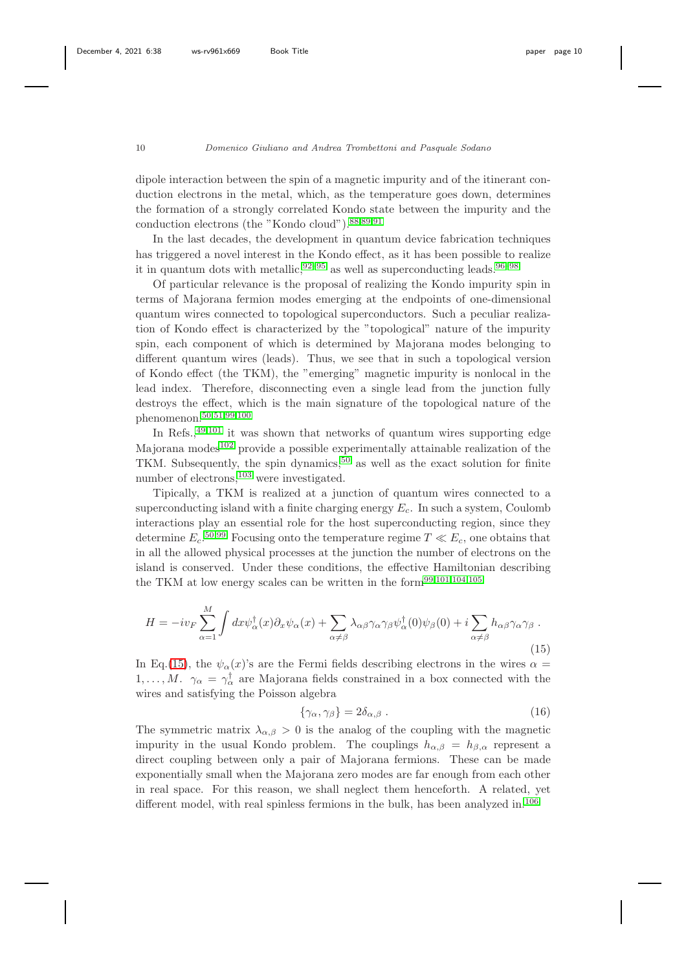dipole interaction between the spin of a magnetic impurity and of the itinerant conduction electrons in the metal, which, as the temperature goes down, determines the formation of a strongly correlated Kondo state between the impurity and the conduction electrons (the "Kondo cloud").[88](#page-25-11)[,89,](#page-25-12)[91](#page-26-1)

In the last decades, the development in quantum device fabrication techniques has triggered a novel interest in the Kondo effect, as it has been possible to realize it in quantum dots with metallic,  $92-95$  $92-95$  as well as superconducting leads.  $96-98$  $96-98$ 

Of particular relevance is the proposal of realizing the Kondo impurity spin in terms of Majorana fermion modes emerging at the endpoints of one-dimensional quantum wires connected to topological superconductors. Such a peculiar realization of Kondo effect is characterized by the "topological" nature of the impurity spin, each component of which is determined by Majorana modes belonging to different quantum wires (leads). Thus, we see that in such a topological version of Kondo effect (the TKM), the "emerging" magnetic impurity is nonlocal in the lead index. Therefore, disconnecting even a single lead from the junction fully destroys the effect, which is the main signature of the topological nature of the phenomenon.[50](#page-23-11)[,51,](#page-23-12)[99,](#page-26-6)[100](#page-26-7)

In Refs.,  $49,101$  $49,101$  it was shown that networks of quantum wires supporting edge Majorana modes $102$  provide a possible experimentally attainable realization of the TKM. Subsequently, the spin dynamics,  $50$  as well as the exact solution for finite number of electrons,<sup>[103](#page-26-10)</sup> were investigated.

Tipically, a TKM is realized at a junction of quantum wires connected to a superconducting island with a finite charging energy  $E_c$ . In such a system, Coulomb interactions play an essential role for the host superconducting region, since they determine  $E_c$ <sup>[50,](#page-23-11)[99](#page-26-6)</sup> Focusing onto the temperature regime  $T \ll E_c$ , one obtains that in all the allowed physical processes at the junction the number of electrons on the island is conserved. Under these conditions, the effective Hamiltonian describing the TKM at low energy scales can be written in the form<sup>[99,](#page-26-6)[101](#page-26-8)[,104](#page-26-11)[,105](#page-26-12)</sup>

<span id="page-9-0"></span>
$$
H = -iv_F \sum_{\alpha=1}^{M} \int dx \psi_{\alpha}^{\dagger}(x) \partial_x \psi_{\alpha}(x) + \sum_{\alpha \neq \beta} \lambda_{\alpha\beta} \gamma_{\alpha} \gamma_{\beta} \psi_{\alpha}^{\dagger}(0) \psi_{\beta}(0) + i \sum_{\alpha \neq \beta} h_{\alpha\beta} \gamma_{\alpha} \gamma_{\beta} . \tag{15}
$$

In Eq.[\(15\)](#page-9-0), the  $\psi_{\alpha}(x)$ 's are the Fermi fields describing electrons in the wires  $\alpha =$  $1, \ldots, M.$   $\gamma_{\alpha} = \gamma_{\alpha}^{\dagger}$  are Majorana fields constrained in a box connected with the wires and satisfying the Poisson algebra

$$
\{\gamma_{\alpha}, \gamma_{\beta}\} = 2\delta_{\alpha,\beta} . \tag{16}
$$

The symmetric matrix  $\lambda_{\alpha,\beta} > 0$  is the analog of the coupling with the magnetic impurity in the usual Kondo problem. The couplings  $h_{\alpha,\beta} = h_{\beta,\alpha}$  represent a direct coupling between only a pair of Majorana fermions. These can be made exponentially small when the Majorana zero modes are far enough from each other in real space. For this reason, we shall neglect them henceforth. A related, yet different model, with real spinless fermions in the bulk, has been analyzed in.<sup>[106](#page-26-13)</sup>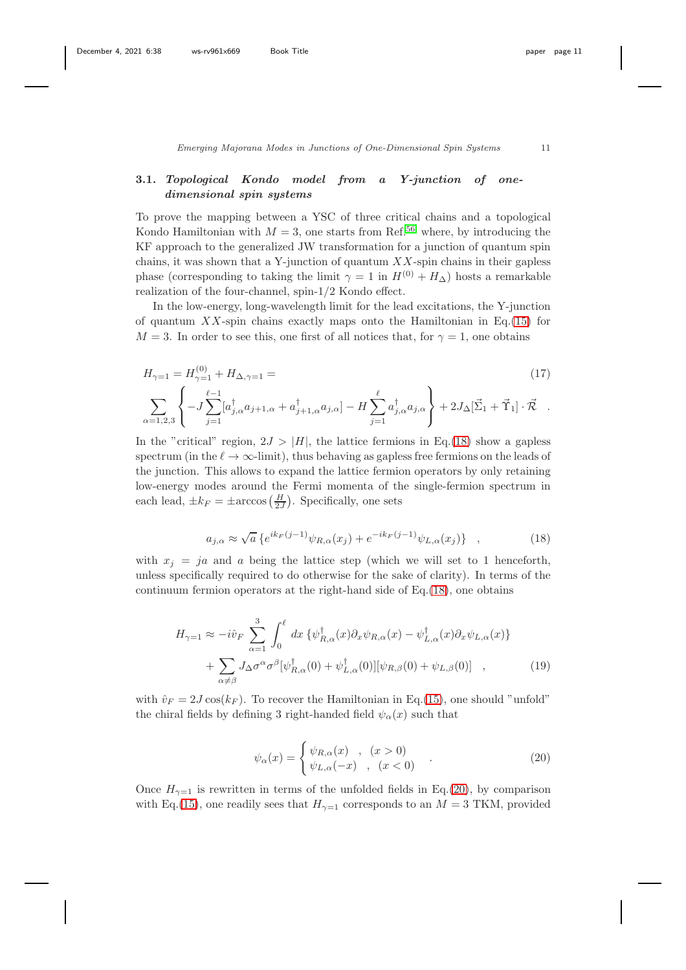## 3.1. Topological Kondo model from a Y-junction of onedimensional spin systems

To prove the mapping between a YSC of three critical chains and a topological Kondo Hamiltonian with  $M = 3$ , one starts from Ref.<sup>[56](#page-24-1)</sup> where, by introducing the KF approach to the generalized JW transformation for a junction of quantum spin chains, it was shown that a Y-junction of quantum  $XX$ -spin chains in their gapless phase (corresponding to taking the limit  $\gamma = 1$  in  $H^{(0)} + H_{\Delta}$ ) hosts a remarkable realization of the four-channel, spin-1/2 Kondo effect.

In the low-energy, long-wavelength limit for the lead excitations, the Y-junction of quantum  $XX$ -spin chains exactly maps onto the Hamiltonian in Eq.[\(15\)](#page-9-0) for  $M = 3$ . In order to see this, one first of all notices that, for  $\gamma = 1$ , one obtains

<span id="page-10-0"></span>
$$
H_{\gamma=1} = H_{\gamma=1}^{(0)} + H_{\Delta,\gamma=1} =
$$
\n
$$
\sum_{\alpha=1,2,3} \left\{ -J \sum_{j=1}^{\ell-1} [a_{j,\alpha}^{\dagger} a_{j+1,\alpha} + a_{j+1,\alpha}^{\dagger} a_{j,\alpha}] - H \sum_{j=1}^{\ell} a_{j,\alpha}^{\dagger} a_{j,\alpha} \right\} + 2J_{\Delta} [\vec{\Sigma}_{1} + \vec{\Upsilon}_{1}] \cdot \vec{\mathcal{R}}.
$$
\n(17)

In the "critical" region,  $2J > |H|$ , the lattice fermions in Eq.[\(18\)](#page-10-0) show a gapless spectrum (in the  $\ell \to \infty$ -limit), thus behaving as gapless free fermions on the leads of the junction. This allows to expand the lattice fermion operators by only retaining low-energy modes around the Fermi momenta of the single-fermion spectrum in each lead,  $\pm k_F = \pm \arccos\left(\frac{H}{2J}\right)$ . Specifically, one sets

<span id="page-10-1"></span>
$$
a_{j,\alpha} \approx \sqrt{a} \left\{ e^{ik_F(j-1)} \psi_{R,\alpha}(x_j) + e^{-ik_F(j-1)} \psi_{L,\alpha}(x_j) \right\} , \qquad (18)
$$

with  $x_j = ja$  and a being the lattice step (which we will set to 1 henceforth, unless specifically required to do otherwise for the sake of clarity). In terms of the continuum fermion operators at the right-hand side of Eq.[\(18\)](#page-10-1), one obtains

$$
H_{\gamma=1} \approx -i\hat{v}_F \sum_{\alpha=1}^3 \int_0^\ell dx \left\{ \psi_{R,\alpha}^\dagger(x) \partial_x \psi_{R,\alpha}(x) - \psi_{L,\alpha}^\dagger(x) \partial_x \psi_{L,\alpha}(x) \right\} + \sum_{\alpha \neq \beta} J_\Delta \sigma^\alpha \sigma^\beta [\psi_{R,\alpha}^\dagger(0) + \psi_{L,\alpha}^\dagger(0)][\psi_{R,\beta}(0) + \psi_{L,\beta}(0)] ,
$$
 (19)

with  $\hat{v}_F = 2J \cos(k_F)$ . To recover the Hamiltonian in Eq.[\(15\)](#page-9-0), one should "unfold" the chiral fields by defining 3 right-handed field  $\psi_{\alpha}(x)$  such that

<span id="page-10-2"></span>
$$
\psi_{\alpha}(x) = \begin{cases} \psi_{R,\alpha}(x) & , (x > 0) \\ \psi_{L,\alpha}(-x) & , (x < 0) \end{cases}
$$
 (20)

Once  $H_{\gamma=1}$  is rewritten in terms of the unfolded fields in Eq.[\(20\)](#page-10-2), by comparison with Eq.[\(15\)](#page-9-0), one readily sees that  $H_{\gamma=1}$  corresponds to an  $M = 3$  TKM, provided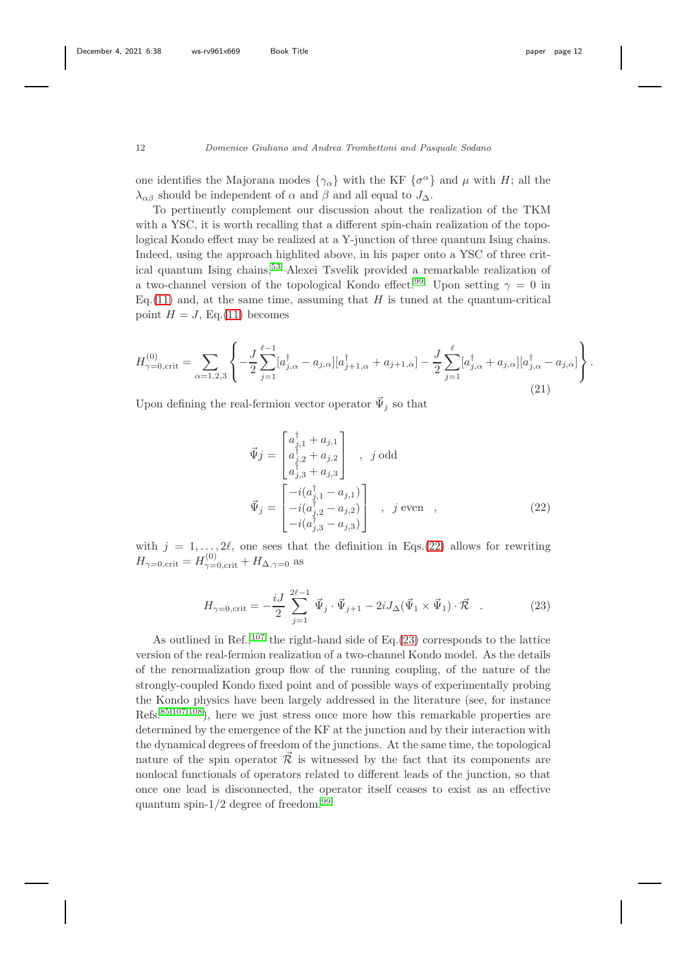.

## 12 Domenico Giuliano and Andrea Trombettoni and Pasquale Sodano

one identifies the Majorana modes  $\{\gamma_{\alpha}\}\$  with the KF  $\{\sigma^{\alpha}\}\$  and  $\mu$  with  $H$ ; all the  $\lambda_{\alpha\beta}$  should be independent of  $\alpha$  and  $\beta$  and all equal to  $J_{\Delta}$ .

To pertinently complement our discussion about the realization of the TKM with a YSC, it is worth recalling that a different spin-chain realization of the topological Kondo effect may be realized at a Y-junction of three quantum Ising chains. Indeed, using the approach highlited above, in his paper onto a YSC of three critical quantum Ising chains,[53](#page-23-14) Alexei Tsvelik provided a remarkable realization of a two-channel version of the topological Kondo effect.<sup>[99](#page-26-6)</sup> Upon setting  $\gamma = 0$  in  $E_{\text{G}}(11)$  $E_{\text{G}}(11)$  and, at the same time, assuming that H is tuned at the quantum-critical point  $H = J$ , Eq.[\(11\)](#page-8-1) becomes

$$
H_{\gamma=0,\text{crit}}^{(0)} = \sum_{\alpha=1,2,3} \left\{ -\frac{J}{2} \sum_{j=1}^{\ell-1} [a_{j,\alpha}^{\dagger} - a_{j,\alpha}] [a_{j+1,\alpha}^{\dagger} + a_{j+1,\alpha}] - \frac{J}{2} \sum_{j=1}^{\ell} [a_{j,\alpha}^{\dagger} + a_{j,\alpha}] [a_{j,\alpha}^{\dagger} - a_{j,\alpha}] \right\}
$$
(21)

Upon defining the real-fermion vector operator  $\vec{\Psi}_j$  so that

<span id="page-11-0"></span>
$$
\vec{\Psi}j = \begin{bmatrix} a_{j,1}^{\dagger} + a_{j,1} \\ a_{j,2}^{\dagger} + a_{j,2} \\ a_{j,3}^{\dagger} + a_{j,3} \end{bmatrix} , j \text{ odd}
$$
\n
$$
\vec{\Psi}_j = \begin{bmatrix} -i(a_{j,1}^{\dagger} - a_{j,1}) \\ -i(a_{j,2}^{\dagger} - a_{j,2}) \\ -i(a_{j,3}^{\dagger} - a_{j,3}) \end{bmatrix} , j \text{ even} ,
$$
\n(22)

with  $j = 1, \ldots, 2\ell$ , one sees that the definition in Eqs.[\(22\)](#page-11-0) allows for rewriting  $H_{\gamma=0,\text{crit}} = H_{\gamma=0,\text{crit}}^{(0)} + H_{\Delta,\gamma=0}$  as

<span id="page-11-1"></span>
$$
H_{\gamma=0,\text{crit}} = -\frac{iJ}{2} \sum_{j=1}^{2\ell-1} \vec{\Psi}_j \cdot \vec{\Psi}_{j+1} - 2iJ_{\Delta}(\vec{\Psi}_1 \times \vec{\Psi}_1) \cdot \vec{\mathcal{R}} \quad . \tag{23}
$$

As outlined in Ref.,<sup>[107](#page-26-14)</sup> the right-hand side of Eq.[\(23\)](#page-11-1) corresponds to the lattice version of the real-fermion realization of a two-channel Kondo model. As the details of the renormalization group flow of the running coupling, of the nature of the strongly-coupled Kondo fixed point and of possible ways of experimentally probing the Kondo physics have been largely addressed in the literature (see, for instance Refs.[85](#page-25-7)[,107](#page-26-14)[,108](#page-26-15)), here we just stress once more how this remarkable properties are determined by the emergence of the KF at the junction and by their interaction with the dynamical degrees of freedom of the junctions. At the same time, the topological nature of the spin operator  $\tilde{\mathcal{R}}$  is witnessed by the fact that its components are nonlocal functionals of operators related to different leads of the junction, so that once one lead is disconnected, the operator itself ceases to exist as an effective quantum spin- $1/2$  degree of freedom.<sup>[99](#page-26-6)</sup>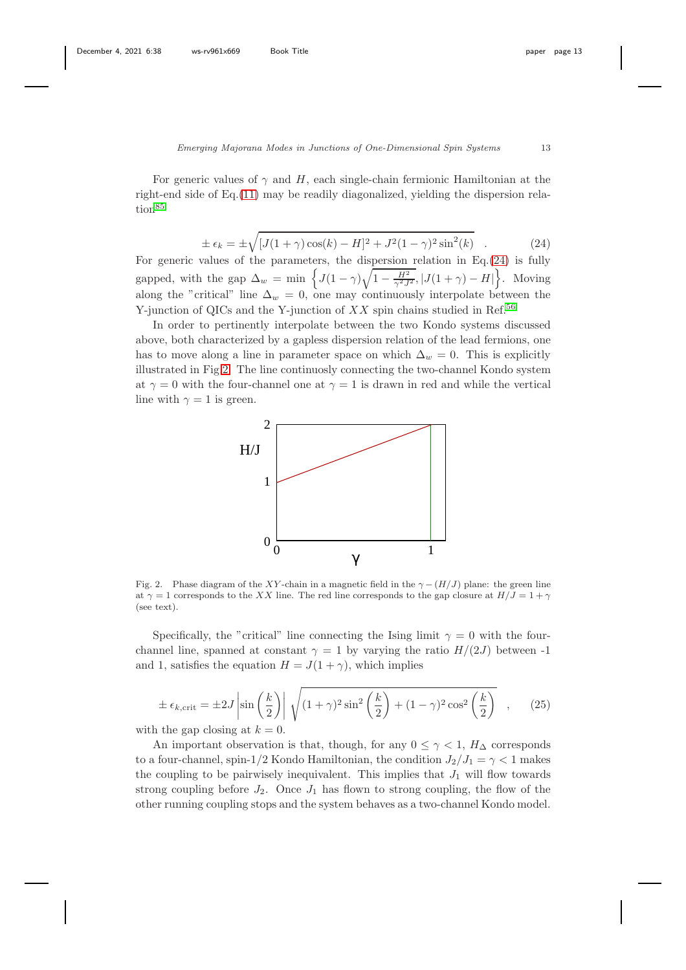For generic values of  $\gamma$  and H, each single-chain fermionic Hamiltonian at the right-end side of Eq.[\(11\)](#page-8-1) may be readily diagonalized, yielding the dispersion rela-tion<sup>[85](#page-25-7)</sup>

<span id="page-12-0"></span>
$$
\pm \epsilon_k = \pm \sqrt{[J(1+\gamma)\cos(k) - H]^2 + J^2(1-\gamma)^2 \sin^2(k)} \quad . \tag{24}
$$

For generic values of the parameters, the dispersion relation in  $Eq.(24)$  $Eq.(24)$  is fully gapped, with the gap  $\Delta_w = \min \left\{ J(1-\gamma)\sqrt{1-\frac{H^2}{\gamma^2 J^2}}$ ,  $|J(1+\gamma)-H|\right\}$ . Moving along the "critical" line  $\Delta_w = 0$ , one may continuously interpolate between the Y-junction of QICs and the Y-junction of  $XX$  spin chains studied in Ref.<sup>[56](#page-24-1)</sup>

In order to pertinently interpolate between the two Kondo systems discussed above, both characterized by a gapless dispersion relation of the lead fermions, one has to move along a line in parameter space on which  $\Delta_w = 0$ . This is explicitly illustrated in Fig[.2.](#page-12-1) The line continuosly connecting the two-channel Kondo system at  $\gamma = 0$  with the four-channel one at  $\gamma = 1$  is drawn in red and while the vertical line with  $\gamma = 1$  is green.



<span id="page-12-1"></span>Fig. 2. Phase diagram of the XY-chain in a magnetic field in the  $\gamma - (H/J)$  plane: the green line at  $\gamma = 1$  corresponds to the XX line. The red line corresponds to the gap closure at  $H/J = 1 + \gamma$ (see text).

Specifically, the "critical" line connecting the Ising limit  $\gamma = 0$  with the fourchannel line, spanned at constant  $\gamma = 1$  by varying the ratio  $H/(2J)$  between -1 and 1, satisfies the equation  $H = J(1 + \gamma)$ , which implies

$$
\pm \epsilon_{k,\text{crit}} = \pm 2J \left| \sin\left(\frac{k}{2}\right) \right| \sqrt{(1+\gamma)^2 \sin^2\left(\frac{k}{2}\right) + (1-\gamma)^2 \cos^2\left(\frac{k}{2}\right)} \quad , \tag{25}
$$

with the gap closing at  $k = 0$ .

An important observation is that, though, for any  $0 \leq \gamma < 1$ ,  $H_{\Delta}$  corresponds to a four-channel, spin-1/2 Kondo Hamiltonian, the condition  $J_2/J_1 = \gamma < 1$  makes the coupling to be pairwisely inequivalent. This implies that  $J_1$  will flow towards strong coupling before  $J_2$ . Once  $J_1$  has flown to strong coupling, the flow of the other running coupling stops and the system behaves as a two-channel Kondo model.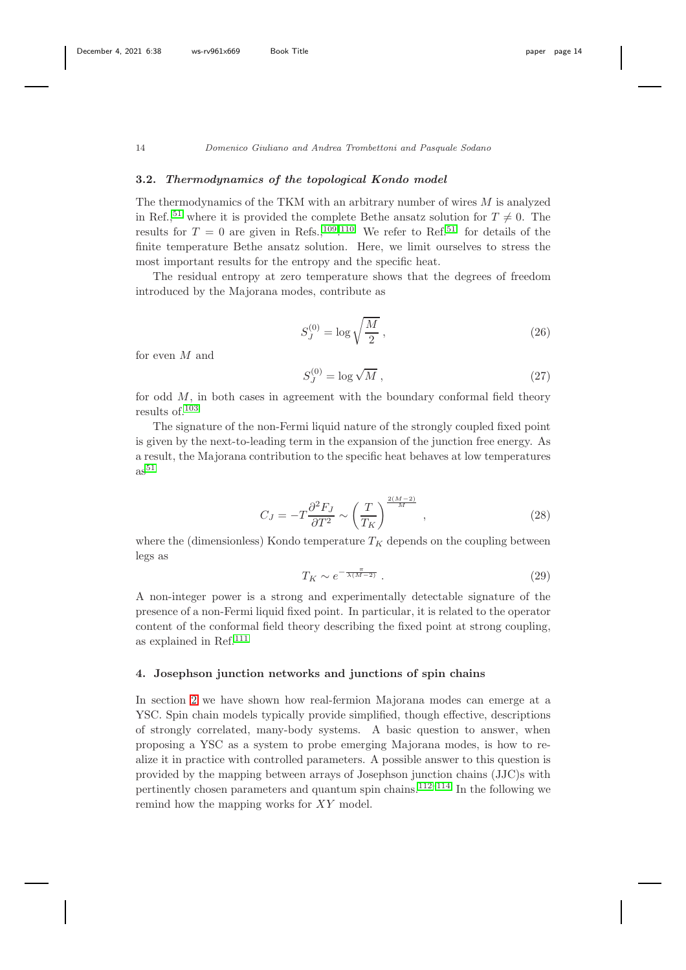## 3.2. Thermodynamics of the topological Kondo model

The thermodynamics of the TKM with an arbitrary number of wires  $M$  is analyzed in Ref.,<sup>[51](#page-23-12)</sup> where it is provided the complete Bethe ansatz solution for  $T \neq 0$ . The results for  $T = 0$  are given in Refs., <sup>[109](#page-26-16)</sup>.<sup>[110](#page-27-0)</sup> We refer to Ref.<sup>[51](#page-23-12)</sup> for details of the finite temperature Bethe ansatz solution. Here, we limit ourselves to stress the most important results for the entropy and the specific heat.

The residual entropy at zero temperature shows that the degrees of freedom introduced by the Majorana modes, contribute as

$$
S_J^{(0)} = \log \sqrt{\frac{M}{2}}\,,\tag{26}
$$

for even M and

$$
S_J^{(0)} = \log \sqrt{M} \,,\tag{27}
$$

for odd  $M$ , in both cases in agreement with the boundary conformal field theory results of.[103](#page-26-10)

The signature of the non-Fermi liquid nature of the strongly coupled fixed point is given by the next-to-leading term in the expansion of the junction free energy. As a result, the Majorana contribution to the specific heat behaves at low temperatures  $\mathrm{as}^{51}$  $\mathrm{as}^{51}$  $\mathrm{as}^{51}$ 

$$
C_J = -T \frac{\partial^2 F_J}{\partial T^2} \sim \left(\frac{T}{T_K}\right)^{\frac{2(M-2)}{M}},\qquad(28)
$$

where the (dimensionless) Kondo temperature  $T_K$  depends on the coupling between legs as

$$
T_K \sim e^{-\frac{\pi}{\lambda(M-2)}}\,. \tag{29}
$$

A non-integer power is a strong and experimentally detectable signature of the presence of a non-Fermi liquid fixed point. In particular, it is related to the operator content of the conformal field theory describing the fixed point at strong coupling, as explained in Ref.[111](#page-27-1)

## <span id="page-13-0"></span>4. Josephson junction networks and junctions of spin chains

In section [2](#page-4-0) we have shown how real-fermion Majorana modes can emerge at a YSC. Spin chain models typically provide simplified, though effective, descriptions of strongly correlated, many-body systems. A basic question to answer, when proposing a YSC as a system to probe emerging Majorana modes, is how to realize it in practice with controlled parameters. A possible answer to this question is provided by the mapping between arrays of Josephson junction chains (JJC)s with pertinently chosen parameters and quantum spin chains.<sup>[112–](#page-27-2)[114](#page-27-3)</sup> In the following we remind how the mapping works for XY model.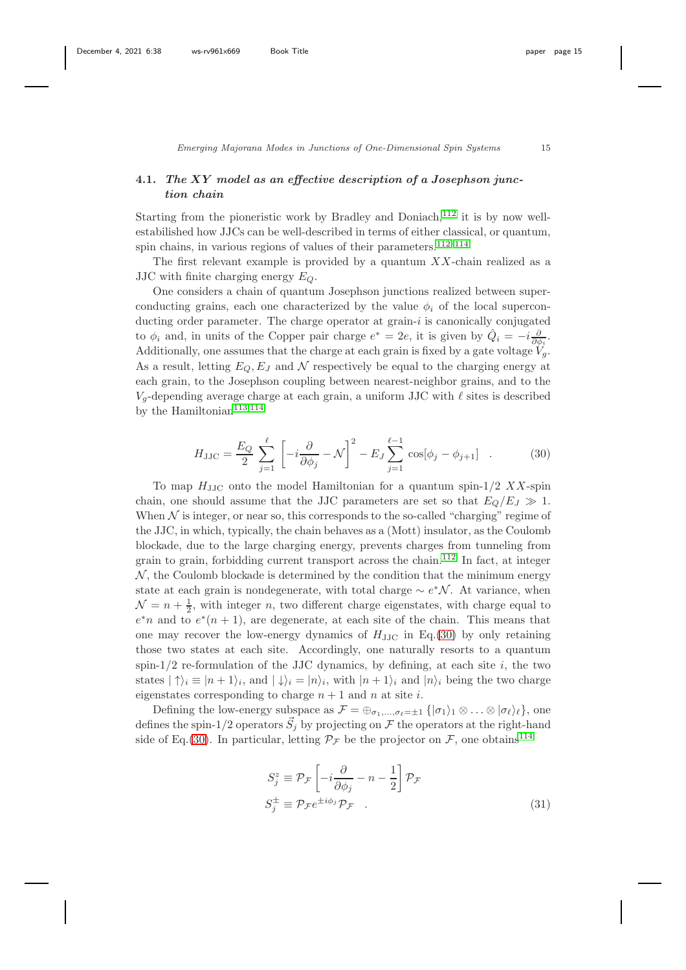## 4.1. The XY model as an effective description of a Josephson junction chain

Starting from the pioneristic work by Bradley and Doniach, $112$  it is by now wellestabilished how JJCs can be well-described in terms of either classical, or quantum, spin chains, in various regions of values of their parameters. $112-114$  $112-114$ 

The first relevant example is provided by a quantum  $XX$ -chain realized as a JJC with finite charging energy  $E_Q$ .

One considers a chain of quantum Josephson junctions realized between superconducting grains, each one characterized by the value  $\phi_i$  of the local superconducting order parameter. The charge operator at grain- $i$  is canonically conjugated to  $\phi_i$  and, in units of the Copper pair charge  $e^* = 2e$ , it is given by  $\hat{Q}_i = -i \frac{\partial}{\partial \phi_i}$ . Additionally, one assumes that the charge at each grain is fixed by a gate voltage  $V_q$ . As a result, letting  $E_Q, E_J$  and N respectively be equal to the charging energy at each grain, to the Josephson coupling between nearest-neighbor grains, and to the  $V_q$ -depending average charge at each grain, a uniform JJC with  $\ell$  sites is described by the Hamiltonian<sup>[113,](#page-27-4)[114](#page-27-3)</sup>

<span id="page-14-0"></span>
$$
H_{\rm JJC} = \frac{E_Q}{2} \sum_{j=1}^{\ell} \left[ -i \frac{\partial}{\partial \phi_j} - \mathcal{N} \right]^2 - E_J \sum_{j=1}^{\ell-1} \cos[\phi_j - \phi_{j+1}] \quad . \tag{30}
$$

To map  $H_{\text{JJC}}$  onto the model Hamiltonian for a quantum spin-1/2 XX-spin chain, one should assume that the JJC parameters are set so that  $E_O/E_J \gg 1$ . When  $N$  is integer, or near so, this corresponds to the so-called "charging" regime of the JJC, in which, typically, the chain behaves as a (Mott) insulator, as the Coulomb blockade, due to the large charging energy, prevents charges from tunneling from grain to grain, forbidding current transport across the chain.[112](#page-27-2) In fact, at integer  $\mathcal N$ , the Coulomb blockade is determined by the condition that the minimum energy state at each grain is nondegenerate, with total charge  $\sim e^*N$ . At variance, when  $\mathcal{N} = n + \frac{1}{2}$ , with integer n, two different charge eigenstates, with charge equal to  $e^*n$  and to  $e^*(n+1)$ , are degenerate, at each site of the chain. This means that one may recover the low-energy dynamics of  $H_{\text{JJC}}$  in Eq.[\(30\)](#page-14-0) by only retaining those two states at each site. Accordingly, one naturally resorts to a quantum spin- $1/2$  re-formulation of the JJC dynamics, by defining, at each site i, the two states  $|\uparrow\rangle_i \equiv |n+1\rangle_i$ , and  $|\downarrow\rangle_i = |n\rangle_i$ , with  $|n+1\rangle_i$  and  $|n\rangle_i$  being the two charge eigenstates corresponding to charge  $n + 1$  and n at site i.

Defining the low-energy subspace as  $\mathcal{F} = \bigoplus_{\sigma_1,\ldots,\sigma_\ell=\pm 1} \{|\sigma_1\rangle_1 \otimes \ldots \otimes |\sigma_\ell\rangle_\ell\}$ , one defines the spin-1/2 operators  $\vec{S}_j$  by projecting on  $\mathcal F$  the operators at the right-hand side of Eq.[\(30\)](#page-14-0). In particular, letting  $\mathcal{P}_{\mathcal{F}}$  be the projector on  $\mathcal{F}$ , one obtains<sup>[114](#page-27-3)</sup>

<span id="page-14-1"></span>
$$
S_j^z \equiv \mathcal{P}_{\mathcal{F}} \left[ -i \frac{\partial}{\partial \phi_j} - n - \frac{1}{2} \right] \mathcal{P}_{\mathcal{F}}
$$
  

$$
S_j^{\pm} \equiv \mathcal{P}_{\mathcal{F}} e^{\pm i \phi_j} \mathcal{P}_{\mathcal{F}} .
$$
 (31)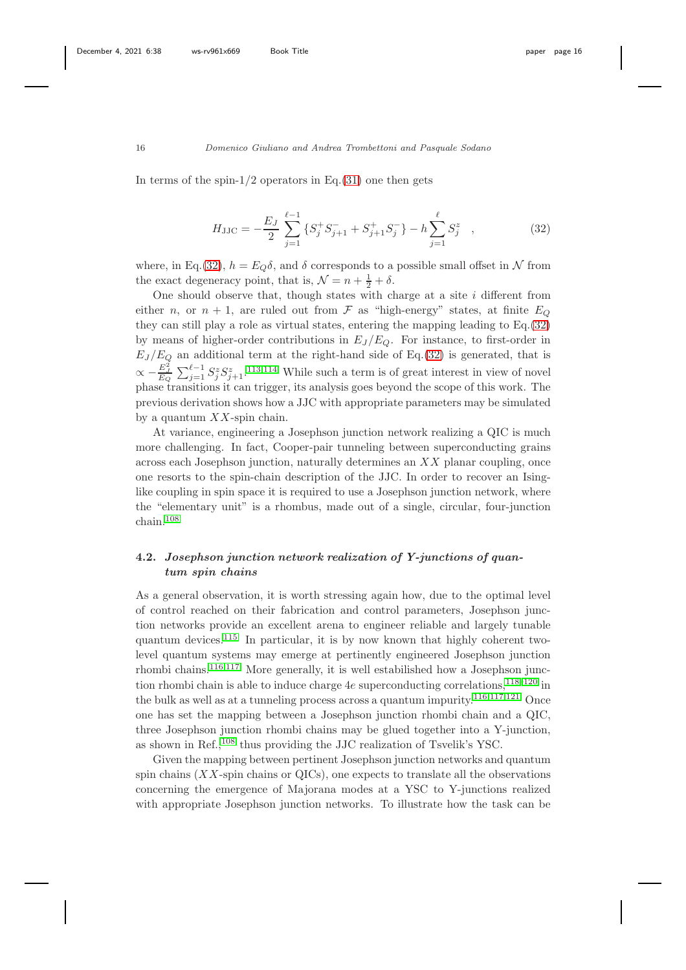In terms of the spin- $1/2$  operators in Eq.[\(31\)](#page-14-1) one then gets

<span id="page-15-0"></span>
$$
H_{\rm JJC} = -\frac{E_J}{2} \sum_{j=1}^{\ell-1} \left\{ S_j^+ S_{j+1}^- + S_{j+1}^+ S_j^- \right\} - h \sum_{j=1}^{\ell} S_j^z \quad , \tag{32}
$$

where, in Eq.[\(32\)](#page-15-0),  $h = E_Q \delta$ , and  $\delta$  corresponds to a possible small offset in N from the exact degeneracy point, that is,  $\mathcal{N} = n + \frac{1}{2} + \delta$ .

One should observe that, though states with charge at a site  $i$  different from either n, or  $n + 1$ , are ruled out from F as "high-energy" states, at finite  $E_Q$ they can still play a role as virtual states, entering the mapping leading to Eq.[\(32\)](#page-15-0) by means of higher-order contributions in  $E_J/E_Q$ . For instance, to first-order in  $E_J/E_Q$  an additional term at the right-hand side of Eq.[\(32\)](#page-15-0) is generated, that is  $\propto -\frac{E_J^2}{E_Q} \sum_{j=1}^{\ell-1} S_j^z S_{j+1}^z$ .<sup>[113](#page-27-4)[,114](#page-27-3)</sup> While such a term is of great interest in view of novel phase transitions it can trigger, its analysis goes beyond the scope of this work. The previous derivation shows how a JJC with appropriate parameters may be simulated by a quantum  $XX$ -spin chain.

At variance, engineering a Josephson junction network realizing a QIC is much more challenging. In fact, Cooper-pair tunneling between superconducting grains across each Josephson junction, naturally determines an XX planar coupling, once one resorts to the spin-chain description of the JJC. In order to recover an Isinglike coupling in spin space it is required to use a Josephson junction network, where the "elementary unit" is a rhombus, made out of a single, circular, four-junction chain.[108](#page-26-15)

# 4.2. Josephson junction network realization of Y-junctions of quantum spin chains

As a general observation, it is worth stressing again how, due to the optimal level of control reached on their fabrication and control parameters, Josephson junction networks provide an excellent arena to engineer reliable and largely tunable quantum devices.<sup>[115](#page-27-5)</sup> In particular, it is by now known that highly coherent twolevel quantum systems may emerge at pertinently engineered Josephson junction rhombi chains.[116,](#page-27-6)[117](#page-27-7) More generally, it is well estabilished how a Josephson junction rhombi chain is able to induce charge  $4e$  superconducting correlations,  $^{118-120}$  $^{118-120}$  $^{118-120}$  in the bulk as well as at a tunneling process across a quantum impurity.<sup>[116,](#page-27-6)[117,](#page-27-7)[121](#page-27-10)</sup> Once one has set the mapping between a Josephson junction rhombi chain and a QIC, three Josephson junction rhombi chains may be glued together into a Y-junction, as shown in Ref.,[108](#page-26-15) thus providing the JJC realization of Tsvelik's YSC.

Given the mapping between pertinent Josephson junction networks and quantum spin chains  $(XX\text{-spin chains or QICs})$ , one expects to translate all the observations concerning the emergence of Majorana modes at a YSC to Y-junctions realized with appropriate Josephson junction networks. To illustrate how the task can be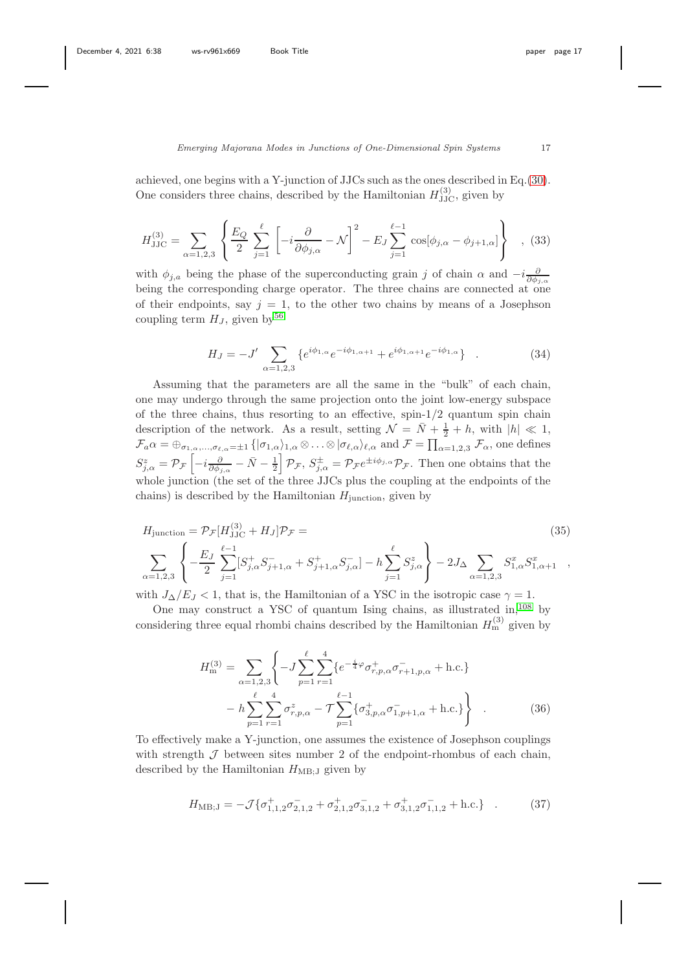achieved, one begins with a Y-junction of JJCs such as the ones described in Eq.[\(30\)](#page-14-0). One considers three chains, described by the Hamiltonian  $H_{\text{JJC}}^{(3)}$ , given by

$$
H_{\rm JJC}^{(3)} = \sum_{\alpha=1,2,3} \left\{ \frac{E_Q}{2} \sum_{j=1}^{\ell} \left[ -i \frac{\partial}{\partial \phi_{j,\alpha}} - \mathcal{N} \right]^2 - E_J \sum_{j=1}^{\ell-1} \cos[\phi_{j,\alpha} - \phi_{j+1,\alpha}] \right\} , \tag{33}
$$

with  $\phi_{j,a}$  being the phase of the superconducting grain j of chain  $\alpha$  and  $-i\frac{\partial}{\partial \phi_{j,\alpha}}$ being the corresponding charge operator. The three chains are connected at one of their endpoints, say  $j = 1$ , to the other two chains by means of a Josephson coupling term  $H_J$ , given by<sup>[56](#page-24-1)</sup>

$$
H_J = -J' \sum_{\alpha=1,2,3} \{ e^{i\phi_{1,\alpha}} e^{-i\phi_{1,\alpha+1}} + e^{i\phi_{1,\alpha+1}} e^{-i\phi_{1,\alpha}} \} . \tag{34}
$$

Assuming that the parameters are all the same in the "bulk" of each chain, one may undergo through the same projection onto the joint low-energy subspace of the three chains, thus resorting to an effective, spin-1/2 quantum spin chain description of the network. As a result, setting  $\mathcal{N} = \bar{N} + \frac{1}{2} + h$ , with  $|h| \ll 1$ ,  $\mathcal{F}_a \alpha = \bigoplus_{\sigma_{1,\alpha},\ldots,\sigma_{\ell,\alpha}=\pm 1} \{ |\sigma_{1,\alpha}\rangle_{1,\alpha} \otimes \ldots \otimes |\sigma_{\ell,\alpha}\rangle_{\ell,\alpha} \text{ and } \mathcal{F} = \prod_{\alpha=1,2,3} \mathcal{F}_\alpha \text{, one defines }$  $S_{j,\alpha}^{z} = \mathcal{P}_{\mathcal{F}}\left[-i\frac{\partial}{\partial \phi_{j,\alpha}} - \bar{N} - \frac{1}{2}\right]\mathcal{P}_{\mathcal{F}}, S_{j,\alpha}^{\pm} = \mathcal{P}_{\mathcal{F}}e^{\pm i\phi_{j,\alpha}}\mathcal{P}_{\mathcal{F}}.$  Then one obtains that the whole junction (the set of the three JJCs plus the coupling at the endpoints of the chains) is described by the Hamiltonian  $H_{\text{junction}}$ , given by

$$
H_{\text{junction}} = \mathcal{P}_{\mathcal{F}}[H_{\text{JJC}}^{(3)} + H_J] \mathcal{P}_{\mathcal{F}} =
$$
\n
$$
\sum_{\alpha=1,2,3} \left\{ -\frac{E_J}{2} \sum_{j=1}^{\ell-1} [S_{j,\alpha}^+ S_{j+1,\alpha}^- + S_{j+1,\alpha}^+ S_{j,\alpha}^-] - h \sum_{j=1}^{\ell} S_{j,\alpha}^z \right\} - 2J_{\Delta} \sum_{\alpha=1,2,3} S_{1,\alpha}^x S_{1,\alpha+1}^x ,
$$
\n(35)

with  $J_{\Delta}/E_J < 1$ , that is, the Hamiltonian of a YSC in the isotropic case  $\gamma = 1$ .

One may construct a YSC of quantum Ising chains, as illustrated in, $^{108}$  $^{108}$  $^{108}$  by considering three equal rhombi chains described by the Hamiltonian  $H_{\text{m}}^{(3)}$  given by

$$
H_{\rm m}^{(3)} = \sum_{\alpha=1,2,3} \left\{ -J \sum_{p=1}^{\ell} \sum_{r=1}^{4} \{ e^{-\frac{i}{4}\varphi} \sigma_{r,p,\alpha}^{+} \sigma_{r+1,p,\alpha}^{-} + \text{h.c.} \} \right. \\ \left. - h \sum_{p=1}^{\ell} \sum_{r=1}^{4} \sigma_{r,p,\alpha}^{z} - \mathcal{T} \sum_{p=1}^{\ell-1} \{ \sigma_{3,p,\alpha}^{+} \sigma_{1,p+1,\alpha}^{-} + \text{h.c.} \} \right\} \quad . \tag{36}
$$

To effectively make a Y-junction, one assumes the existence of Josephson couplings with strength  $J$  between sites number 2 of the endpoint-rhombus of each chain, described by the Hamiltonian  $H_{MB;J}$  given by

$$
H_{\text{MB};J} = -\mathcal{J}\{\sigma_{1,1,2}^+ \sigma_{2,1,2}^- + \sigma_{2,1,2}^+ \sigma_{3,1,2}^- + \sigma_{3,1,2}^+ \sigma_{1,1,2}^- + \text{h.c.}\} \quad . \tag{37}
$$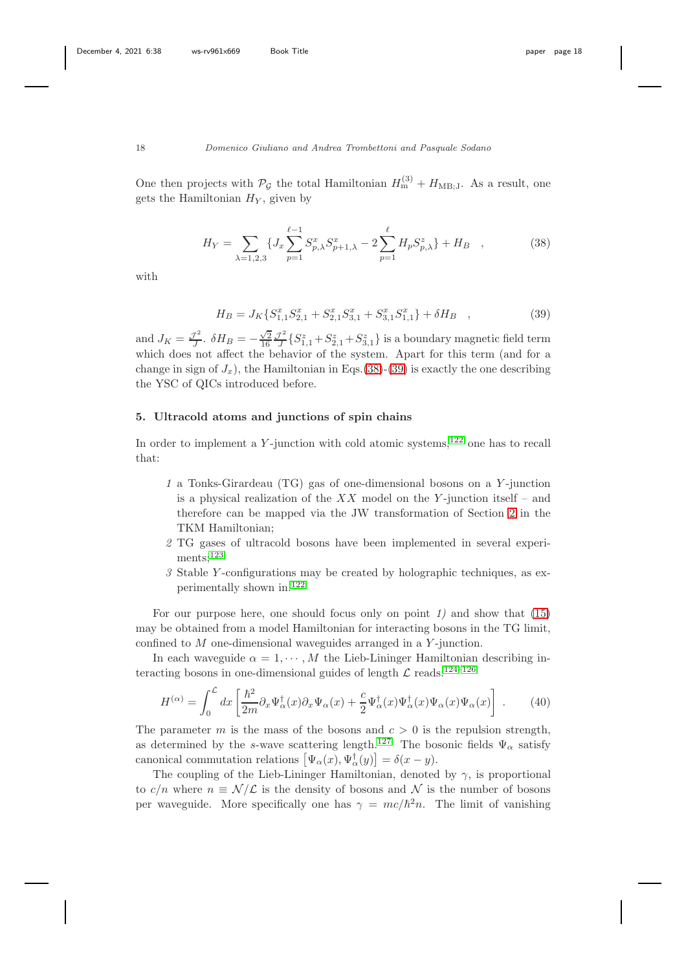One then projects with  $\mathcal{P}_{\mathcal{G}}$  the total Hamiltonian  $H_{\text{m}}^{(3)} + H_{\text{MB};J}$ . As a result, one gets the Hamiltonian  $H_Y$ , given by

<span id="page-17-1"></span>
$$
H_Y = \sum_{\lambda=1,2,3} \{ J_x \sum_{p=1}^{\ell-1} S_{p,\lambda}^x S_{p+1,\lambda}^x - 2 \sum_{p=1}^{\ell} H_p S_{p,\lambda}^z \} + H_B \quad , \tag{38}
$$

with

<span id="page-17-2"></span>
$$
H_B = J_K \{ S_{1,1}^x S_{2,1}^x + S_{2,1}^x S_{3,1}^x + S_{3,1}^x S_{1,1}^x \} + \delta H_B ,
$$
\n(39)

and  $J_K = \frac{\mathcal{J}^2}{J}$  $\frac{\mathcal{J}^2}{J}$ .  $\delta H_B = -\frac{\sqrt{2}}{16} \frac{\mathcal{J}^2}{J}$  $\frac{J^2}{J}\left\{S_{1,1}^z + S_{2,1}^z + S_{3,1}^z\right\}$  is a boundary magnetic field term which does not affect the behavior of the system. Apart for this term (and for a change in sign of  $J_x$ ), the Hamiltonian in Eqs.[\(38\)](#page-17-1)-[\(39\)](#page-17-2) is exactly the one describing the YSC of QICs introduced before.

## <span id="page-17-0"></span>5. Ultracold atoms and junctions of spin chains

In order to implement a  $Y$ -junction with cold atomic systems,<sup>[122](#page-27-11)</sup> one has to recall that:

- 1 a Tonks-Girardeau (TG) gas of one-dimensional bosons on a Y -junction is a physical realization of the  $XX$  model on the Y-junction itself – and therefore can be mapped via the JW transformation of Section [2](#page-4-0) in the TKM Hamiltonian;
- 2 TG gases of ultracold bosons have been implemented in several experi-ments;<sup>[123](#page-27-12)</sup>
- 3 Stable Y -configurations may be created by holographic techniques, as experimentally shown in.[122](#page-27-11)

For our purpose here, one should focus only on point  $1$ ) and show that  $(15)$ may be obtained from a model Hamiltonian for interacting bosons in the TG limit, confined to M one-dimensional waveguides arranged in a Y -junction.

In each waveguide  $\alpha = 1, \cdots, M$  the Lieb-Lininger Hamiltonian describing interacting bosons in one-dimensional guides of length  $\mathcal L$  reads:<sup>[124–](#page-27-13)[126](#page-28-0)</sup>

$$
H^{(\alpha)} = \int_0^{\mathcal{L}} dx \left[ \frac{\hbar^2}{2m} \partial_x \Psi_\alpha^\dagger(x) \partial_x \Psi_\alpha(x) + \frac{c}{2} \Psi_\alpha^\dagger(x) \Psi_\alpha^\dagger(x) \Psi_\alpha(x) \Psi_\alpha(x) \right] \ . \tag{40}
$$

The parameter m is the mass of the bosons and  $c > 0$  is the repulsion strength, as determined by the s-wave scattering length.<sup>[127](#page-28-1)</sup> The bosonic fields  $\Psi_{\alpha}$  satisfy canonical commutation relations  $[\Psi_{\alpha}(x), \Psi_{\alpha}^{\dagger}(y)] = \delta(x - y)$ .

The coupling of the Lieb-Lininger Hamiltonian, denoted by  $\gamma$ , is proportional to c/n where  $n \equiv \mathcal{N}/\mathcal{L}$  is the density of bosons and N is the number of bosons per waveguide. More specifically one has  $\gamma = mc/\hbar^2 n$ . The limit of vanishing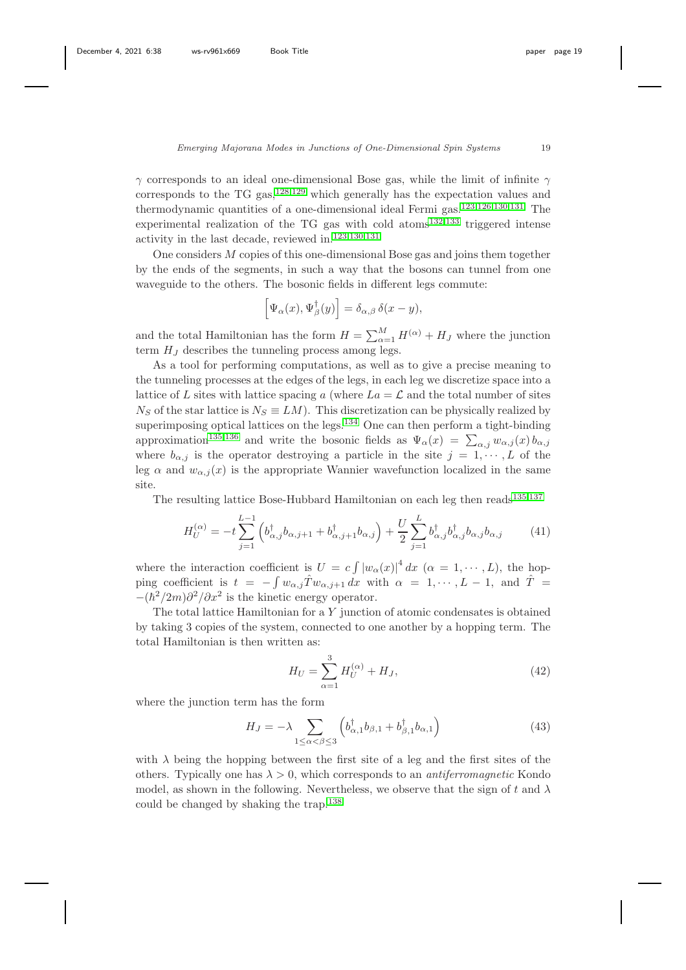$\gamma$  corresponds to an ideal one-dimensional Bose gas, while the limit of infinite  $\gamma$ corresponds to the TG gas,  $128,129$  $128,129$  which generally has the expectation values and thermodynamic quantities of a one-dimensional ideal Fermi gas.[123,](#page-27-12)[126](#page-28-0)[,130](#page-28-4)[,131](#page-28-5) The experimental realization of the TG gas with cold atoms<sup>[132,](#page-28-6)[133](#page-28-7)</sup> triggered intense activity in the last decade, reviewed in.[123,](#page-27-12)[130](#page-28-4)[,131](#page-28-5)

One considers M copies of this one-dimensional Bose gas and joins them together by the ends of the segments, in such a way that the bosons can tunnel from one waveguide to the others. The bosonic fields in different legs commute:

$$
\left[\Psi_{\alpha}(x),\Psi_{\beta}^{\dagger}(y)\right]=\delta_{\alpha,\beta}\,\delta(x-y),
$$

and the total Hamiltonian has the form  $H = \sum_{\alpha=1}^{M} H^{(\alpha)} + H_J$  where the junction term  $H_J$  describes the tunneling process among legs.

As a tool for performing computations, as well as to give a precise meaning to the tunneling processes at the edges of the legs, in each leg we discretize space into a lattice of L sites with lattice spacing a (where  $La = \mathcal{L}$  and the total number of sites  $N<sub>S</sub>$  of the star lattice is  $N<sub>S</sub> \equiv LM$ ). This discretization can be physically realized by superimposing optical lattices on the legs. $134$  One can then perform a tight-binding approximation<sup>[135,](#page-28-9)[136](#page-28-10)</sup> and write the bosonic fields as  $\Psi_{\alpha}(x) = \sum_{\alpha,j} w_{\alpha,j}(x) b_{\alpha,j}$ where  $b_{\alpha,i}$  is the operator destroying a particle in the site  $j = 1, \dots, L$  of the leg  $\alpha$  and  $w_{\alpha,j}(x)$  is the appropriate Wannier wavefunction localized in the same site.

The resulting lattice Bose-Hubbard Hamiltonian on each leg then reads<sup>[135,](#page-28-9)[137](#page-28-11)</sup>

<span id="page-18-0"></span>
$$
H_U^{(\alpha)} = -t \sum_{j=1}^{L-1} \left( b_{\alpha,j}^\dagger b_{\alpha,j+1} + b_{\alpha,j+1}^\dagger b_{\alpha,j} \right) + \frac{U}{2} \sum_{j=1}^L b_{\alpha,j}^\dagger b_{\alpha,j}^\dagger b_{\alpha,j} b_{\alpha,j} \tag{41}
$$

where the interaction coefficient is  $U = c \int |w_\alpha(x)|^4 dx$   $(\alpha = 1, \dots, L)$ , the hopping coefficient is  $t = -\int w_{\alpha,j} \hat{T} w_{\alpha,j+1} dx$  with  $\alpha = 1, \dots, L-1$ , and  $\hat{T} =$  $-(\hbar^2/2m)\partial^2/\partial x^2$  is the kinetic energy operator.

The total lattice Hamiltonian for a  $Y$  junction of atomic condensates is obtained by taking 3 copies of the system, connected to one another by a hopping term. The total Hamiltonian is then written as:

<span id="page-18-1"></span>
$$
H_U = \sum_{\alpha=1}^{3} H_U^{(\alpha)} + H_J,
$$
\n(42)

where the junction term has the form

$$
H_J = -\lambda \sum_{1 \le \alpha < \beta \le 3} \left( b_{\alpha,1}^\dagger b_{\beta,1} + b_{\beta,1}^\dagger b_{\alpha,1} \right) \tag{43}
$$

with  $\lambda$  being the hopping between the first site of a leg and the first sites of the others. Typically one has  $\lambda > 0$ , which corresponds to an *antiferromagnetic* Kondo model, as shown in the following. Nevertheless, we observe that the sign of t and  $\lambda$ could be changed by shaking the trap.[138](#page-28-12)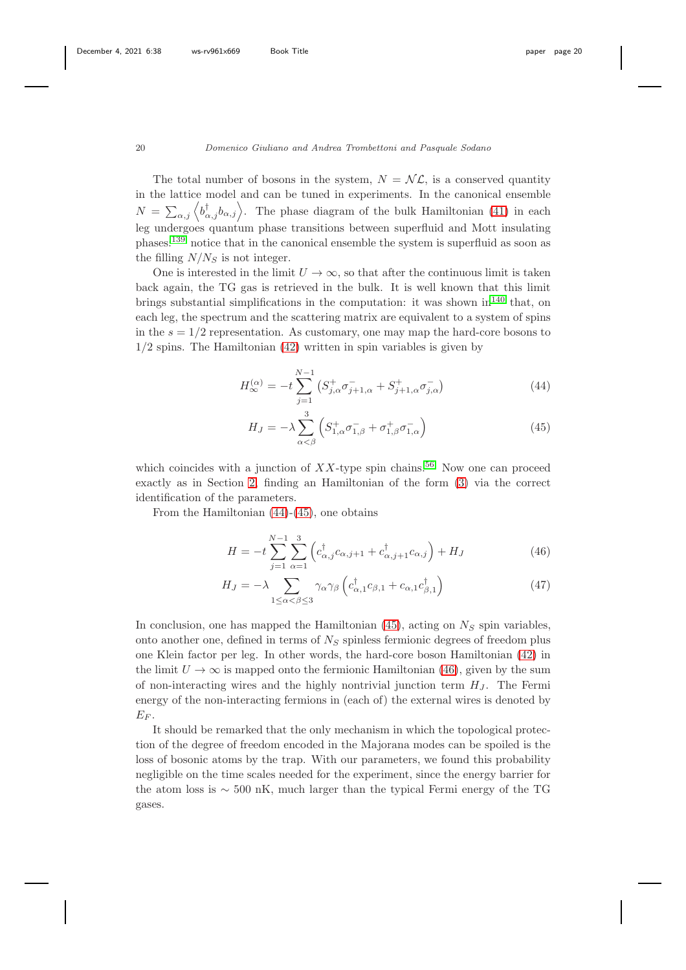The total number of bosons in the system,  $N = \mathcal{NL}$ , is a conserved quantity in the lattice model and can be tuned in experiments. In the canonical ensemble  $N = \sum_{\alpha,j} \left\langle b_{\alpha,j}^{\dagger} b_{\alpha,j} \right\rangle$ . The phase diagram of the bulk Hamiltonian [\(41\)](#page-18-0) in each leg undergoes quantum phase transitions between superfluid and Mott insulating phases:[139](#page-28-13) notice that in the canonical ensemble the system is superfluid as soon as the filling  $N/N<sub>S</sub>$  is not integer.

One is interested in the limit  $U \to \infty$ , so that after the continuous limit is taken back again, the TG gas is retrieved in the bulk. It is well known that this limit brings substantial simplifications in the computation: it was shown  $\ln^{140}$  $\ln^{140}$  $\ln^{140}$  that, on each leg, the spectrum and the scattering matrix are equivalent to a system of spins in the  $s = 1/2$  representation. As customary, one may map the hard-core bosons to 1/2 spins. The Hamiltonian [\(42\)](#page-18-1) written in spin variables is given by

<span id="page-19-0"></span>
$$
H_{\infty}^{(\alpha)} = -t \sum_{j=1}^{N-1} \left( S_{j,\alpha}^{+} \sigma_{j+1,\alpha}^{-} + S_{j+1,\alpha}^{+} \sigma_{j,\alpha}^{-} \right)
$$
(44)

$$
H_J = -\lambda \sum_{\alpha < \beta}^{3} \left( S_{1,\alpha}^+ \sigma_{1,\beta}^- + \sigma_{1,\beta}^+ \sigma_{1,\alpha}^- \right) \tag{45}
$$

which coincides with a junction of  $XX$ -type spin chains.<sup>[56](#page-24-1)</sup> Now one can proceed exactly as in Section [2,](#page-4-0) finding an Hamiltonian of the form [\(3\)](#page-5-1) via the correct identification of the parameters.

From the Hamiltonian [\(44\)](#page-19-0)-[\(45\)](#page-19-0), one obtains

<span id="page-19-1"></span>
$$
H = -t \sum_{j=1}^{N-1} \sum_{\alpha=1}^{3} \left( c^{\dagger}_{\alpha,j} c_{\alpha,j+1} + c^{\dagger}_{\alpha,j+1} c_{\alpha,j} \right) + H_J \tag{46}
$$

$$
H_J = -\lambda \sum_{1 \le \alpha < \beta \le 3} \gamma_\alpha \gamma_\beta \left( c_{\alpha,1}^\dagger c_{\beta,1} + c_{\alpha,1} c_{\beta,1}^\dagger \right) \tag{47}
$$

In conclusion, one has mapped the Hamiltonian  $(45)$ , acting on  $N<sub>S</sub>$  spin variables, onto another one, defined in terms of  $N<sub>S</sub>$  spinless fermionic degrees of freedom plus one Klein factor per leg. In other words, the hard-core boson Hamiltonian [\(42\)](#page-18-1) in the limit  $U \to \infty$  is mapped onto the fermionic Hamiltonian [\(46\)](#page-19-1), given by the sum of non-interacting wires and the highly nontrivial junction term  $H_J$ . The Fermi energy of the non-interacting fermions in (each of) the external wires is denoted by  $E_F$ .

It should be remarked that the only mechanism in which the topological protection of the degree of freedom encoded in the Majorana modes can be spoiled is the loss of bosonic atoms by the trap. With our parameters, we found this probability negligible on the time scales needed for the experiment, since the energy barrier for the atom loss is ∼ 500 nK, much larger than the typical Fermi energy of the TG gases.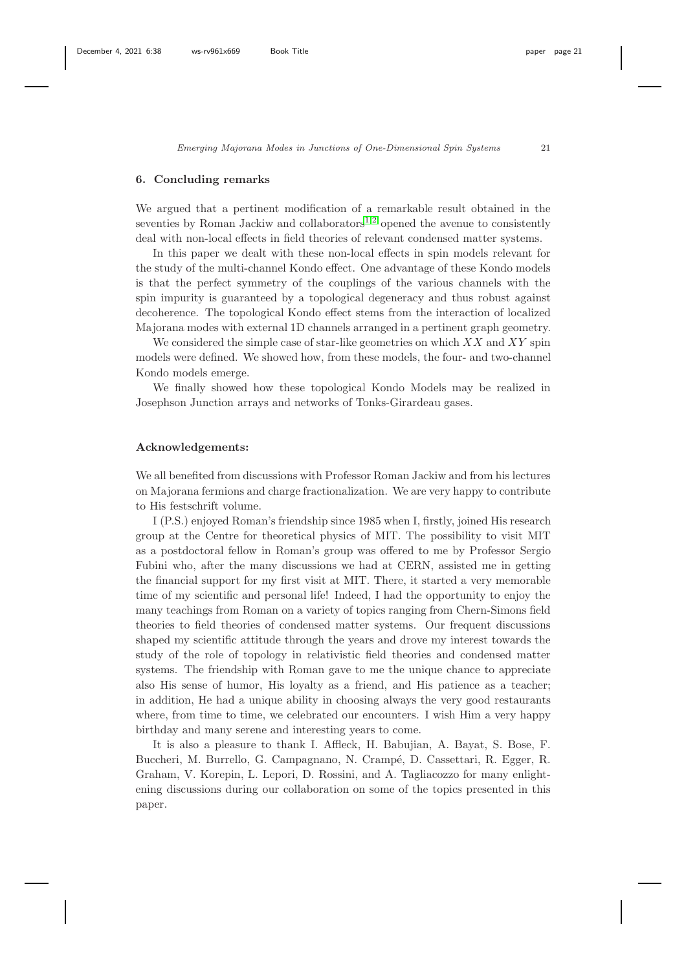### <span id="page-20-0"></span>6. Concluding remarks

We argued that a pertinent modification of a remarkable result obtained in the seventies by Roman Jackiw and collaborators<sup>[1](#page-21-0)[,2](#page-21-1)</sup> opened the avenue to consistently deal with non-local effects in field theories of relevant condensed matter systems.

In this paper we dealt with these non-local effects in spin models relevant for the study of the multi-channel Kondo effect. One advantage of these Kondo models is that the perfect symmetry of the couplings of the various channels with the spin impurity is guaranteed by a topological degeneracy and thus robust against decoherence. The topological Kondo effect stems from the interaction of localized Majorana modes with external 1D channels arranged in a pertinent graph geometry.

We considered the simple case of star-like geometries on which  $XX$  and  $XY$  spin models were defined. We showed how, from these models, the four- and two-channel Kondo models emerge.

We finally showed how these topological Kondo Models may be realized in Josephson Junction arrays and networks of Tonks-Girardeau gases.

## Acknowledgements:

We all benefited from discussions with Professor Roman Jackiw and from his lectures on Majorana fermions and charge fractionalization. We are very happy to contribute to His festschrift volume.

I (P.S.) enjoyed Roman's friendship since 1985 when I, firstly, joined His research group at the Centre for theoretical physics of MIT. The possibility to visit MIT as a postdoctoral fellow in Roman's group was offered to me by Professor Sergio Fubini who, after the many discussions we had at CERN, assisted me in getting the financial support for my first visit at MIT. There, it started a very memorable time of my scientific and personal life! Indeed, I had the opportunity to enjoy the many teachings from Roman on a variety of topics ranging from Chern-Simons field theories to field theories of condensed matter systems. Our frequent discussions shaped my scientific attitude through the years and drove my interest towards the study of the role of topology in relativistic field theories and condensed matter systems. The friendship with Roman gave to me the unique chance to appreciate also His sense of humor, His loyalty as a friend, and His patience as a teacher; in addition, He had a unique ability in choosing always the very good restaurants where, from time to time, we celebrated our encounters. I wish Him a very happy birthday and many serene and interesting years to come.

It is also a pleasure to thank I. Affleck, H. Babujian, A. Bayat, S. Bose, F. Buccheri, M. Burrello, G. Campagnano, N. Crampé, D. Cassettari, R. Egger, R. Graham, V. Korepin, L. Lepori, D. Rossini, and A. Tagliacozzo for many enlightening discussions during our collaboration on some of the topics presented in this paper.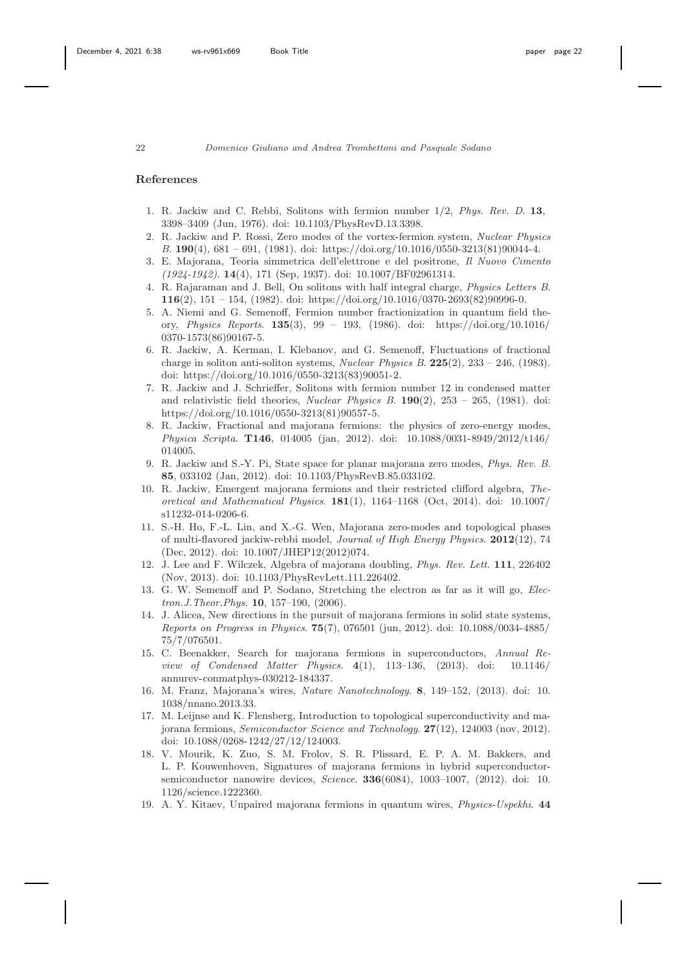#### <span id="page-21-0"></span>References

- 1. R. Jackiw and C. Rebbi, Solitons with fermion number 1/2, *Phys. Rev. D*. 13, 3398–3409 (Jun, 1976). doi: 10.1103/PhysRevD.13.3398.
- <span id="page-21-1"></span>2. R. Jackiw and P. Rossi, Zero modes of the vortex-fermion system, *Nuclear Physics B*. 190(4), 681 – 691, (1981). doi: https://doi.org/10.1016/0550-3213(81)90044-4.
- <span id="page-21-2"></span>3. E. Majorana, Teoria simmetrica dell'elettrone e del positrone, *Il Nuovo Cimento (1924-1942)*. 14(4), 171 (Sep, 1937). doi: 10.1007/BF02961314.
- <span id="page-21-3"></span>4. R. Rajaraman and J. Bell, On solitons with half integral charge, *Physics Letters B*. 116(2), 151 – 154, (1982). doi: https://doi.org/10.1016/0370-2693(82)90996-0.
- 5. A. Niemi and G. Semenoff, Fermion number fractionization in quantum field theory, *Physics Reports*. 135(3), 99 – 193, (1986). doi: https://doi.org/10.1016/ 0370-1573(86)90167-5.
- <span id="page-21-4"></span>6. R. Jackiw, A. Kerman, I. Klebanov, and G. Semenoff, Fluctuations of fractional charge in soliton anti-soliton systems, *Nuclear Physics B*. 225(2), 233 – 246, (1983). doi: https://doi.org/10.1016/0550-3213(83)90051-2.
- <span id="page-21-5"></span>7. R. Jackiw and J. Schrieffer, Solitons with fermion number 12 in condensed matter and relativistic field theories, *Nuclear Physics B*. 190(2), 253 – 265, (1981). doi: https://doi.org/10.1016/0550-3213(81)90557-5.
- <span id="page-21-6"></span>8. R. Jackiw, Fractional and majorana fermions: the physics of zero-energy modes, *Physica Scripta*. T146, 014005 (jan, 2012). doi: 10.1088/0031-8949/2012/t146/ 014005.
- 9. R. Jackiw and S.-Y. Pi, State space for planar majorana zero modes, *Phys. Rev. B*. 85, 033102 (Jan, 2012). doi: 10.1103/PhysRevB.85.033102.
- 10. R. Jackiw, Emergent majorana fermions and their restricted clifford algebra, *Theoretical and Mathematical Physics*. 181(1), 1164–1168 (Oct, 2014). doi: 10.1007/ s11232-014-0206-6.
- 11. S.-H. Ho, F.-L. Lin, and X.-G. Wen, Majorana zero-modes and topological phases of multi-flavored jackiw-rebbi model, *Journal of High Energy Physics*. 2012(12), 74 (Dec, 2012). doi: 10.1007/JHEP12(2012)074.
- <span id="page-21-7"></span>12. J. Lee and F. Wilczek, Algebra of majorana doubling, *Phys. Rev. Lett.* 111, 226402 (Nov, 2013). doi: 10.1103/PhysRevLett.111.226402.
- <span id="page-21-8"></span>13. G. W. Semenoff and P. Sodano, Stretching the electron as far as it will go, *Electron.J.Theor.Phys.* 10, 157–190, (2006).
- <span id="page-21-9"></span>14. J. Alicea, New directions in the pursuit of majorana fermions in solid state systems, *Reports on Progress in Physics*. 75(7), 076501 (jun, 2012). doi: 10.1088/0034-4885/ 75/7/076501.
- 15. C. Beenakker, Search for majorana fermions in superconductors, *Annual Review of Condensed Matter Physics*. 4(1), 113–136, (2013). doi: 10.1146/ annurev-conmatphys-030212-184337.
- 16. M. Franz, Majorana's wires, *Nature Nanotechnology*. 8, 149–152, (2013). doi: 10. 1038/nnano.2013.33.
- <span id="page-21-10"></span>17. M. Leijnse and K. Flensberg, Introduction to topological superconductivity and majorana fermions, *Semiconductor Science and Technology*. 27(12), 124003 (nov, 2012). doi: 10.1088/0268-1242/27/12/124003.
- <span id="page-21-11"></span>18. V. Mourik, K. Zuo, S. M. Frolov, S. R. Plissard, E. P. A. M. Bakkers, and L. P. Kouwenhoven, Signatures of majorana fermions in hybrid superconductorsemiconductor nanowire devices, *Science*. 336(6084), 1003–1007, (2012). doi: 10. 1126/science.1222360.
- <span id="page-21-12"></span>19. A. Y. Kitaev, Unpaired majorana fermions in quantum wires, *Physics-Uspekhi*. 44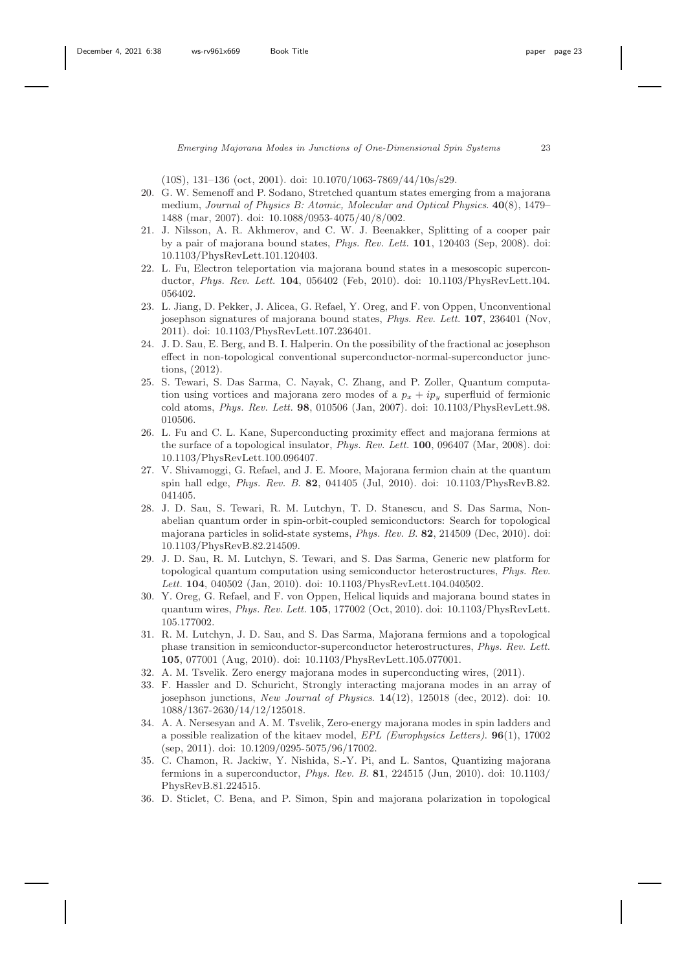(10S), 131–136 (oct, 2001). doi: 10.1070/1063-7869/44/10s/s29.

- <span id="page-22-0"></span>20. G. W. Semenoff and P. Sodano, Stretched quantum states emerging from a majorana medium, *Journal of Physics B: Atomic, Molecular and Optical Physics*. 40(8), 1479– 1488 (mar, 2007). doi: 10.1088/0953-4075/40/8/002.
- <span id="page-22-1"></span>21. J. Nilsson, A. R. Akhmerov, and C. W. J. Beenakker, Splitting of a cooper pair by a pair of majorana bound states, *Phys. Rev. Lett.* 101, 120403 (Sep, 2008). doi: 10.1103/PhysRevLett.101.120403.
- <span id="page-22-2"></span>22. L. Fu, Electron teleportation via majorana bound states in a mesoscopic superconductor, *Phys. Rev. Lett.* 104, 056402 (Feb, 2010). doi: 10.1103/PhysRevLett.104. 056402.
- <span id="page-22-3"></span>23. L. Jiang, D. Pekker, J. Alicea, G. Refael, Y. Oreg, and F. von Oppen, Unconventional josephson signatures of majorana bound states, *Phys. Rev. Lett.* 107, 236401 (Nov, 2011). doi: 10.1103/PhysRevLett.107.236401.
- <span id="page-22-4"></span>24. J. D. Sau, E. Berg, and B. I. Halperin. On the possibility of the fractional ac josephson effect in non-topological conventional superconductor-normal-superconductor junctions, (2012).
- <span id="page-22-5"></span>25. S. Tewari, S. Das Sarma, C. Nayak, C. Zhang, and P. Zoller, Quantum computation using vortices and majorana zero modes of a  $p_x + ip_y$  superfluid of fermionic cold atoms, *Phys. Rev. Lett.* 98, 010506 (Jan, 2007). doi: 10.1103/PhysRevLett.98. 010506.
- <span id="page-22-6"></span>26. L. Fu and C. L. Kane, Superconducting proximity effect and majorana fermions at the surface of a topological insulator, *Phys. Rev. Lett.* 100, 096407 (Mar, 2008). doi: 10.1103/PhysRevLett.100.096407.
- <span id="page-22-7"></span>27. V. Shivamoggi, G. Refael, and J. E. Moore, Majorana fermion chain at the quantum spin hall edge, *Phys. Rev. B*. 82, 041405 (Jul, 2010). doi: 10.1103/PhysRevB.82. 041405.
- <span id="page-22-8"></span>28. J. D. Sau, S. Tewari, R. M. Lutchyn, T. D. Stanescu, and S. Das Sarma, Nonabelian quantum order in spin-orbit-coupled semiconductors: Search for topological majorana particles in solid-state systems, *Phys. Rev. B*. 82, 214509 (Dec, 2010). doi: 10.1103/PhysRevB.82.214509.
- 29. J. D. Sau, R. M. Lutchyn, S. Tewari, and S. Das Sarma, Generic new platform for topological quantum computation using semiconductor heterostructures, *Phys. Rev. Lett.* 104, 040502 (Jan, 2010). doi: 10.1103/PhysRevLett.104.040502.
- <span id="page-22-15"></span>30. Y. Oreg, G. Refael, and F. von Oppen, Helical liquids and majorana bound states in quantum wires, *Phys. Rev. Lett.* 105, 177002 (Oct, 2010). doi: 10.1103/PhysRevLett. 105.177002.
- <span id="page-22-9"></span>31. R. M. Lutchyn, J. D. Sau, and S. Das Sarma, Majorana fermions and a topological phase transition in semiconductor-superconductor heterostructures, *Phys. Rev. Lett.* 105, 077001 (Aug, 2010). doi: 10.1103/PhysRevLett.105.077001.
- <span id="page-22-11"></span><span id="page-22-10"></span>32. A. M. Tsvelik. Zero energy majorana modes in superconducting wires, (2011).
- 33. F. Hassler and D. Schuricht, Strongly interacting majorana modes in an array of josephson junctions, *New Journal of Physics*. 14(12), 125018 (dec, 2012). doi: 10. 1088/1367-2630/14/12/125018.
- <span id="page-22-12"></span>34. A. A. Nersesyan and A. M. Tsvelik, Zero-energy majorana modes in spin ladders and a possible realization of the kitaev model, *EPL (Europhysics Letters)*. 96(1), 17002 (sep, 2011). doi: 10.1209/0295-5075/96/17002.
- <span id="page-22-13"></span>35. C. Chamon, R. Jackiw, Y. Nishida, S.-Y. Pi, and L. Santos, Quantizing majorana fermions in a superconductor, *Phys. Rev. B*. 81, 224515 (Jun, 2010). doi: 10.1103/ PhysRevB.81.224515.
- <span id="page-22-14"></span>36. D. Sticlet, C. Bena, and P. Simon, Spin and majorana polarization in topological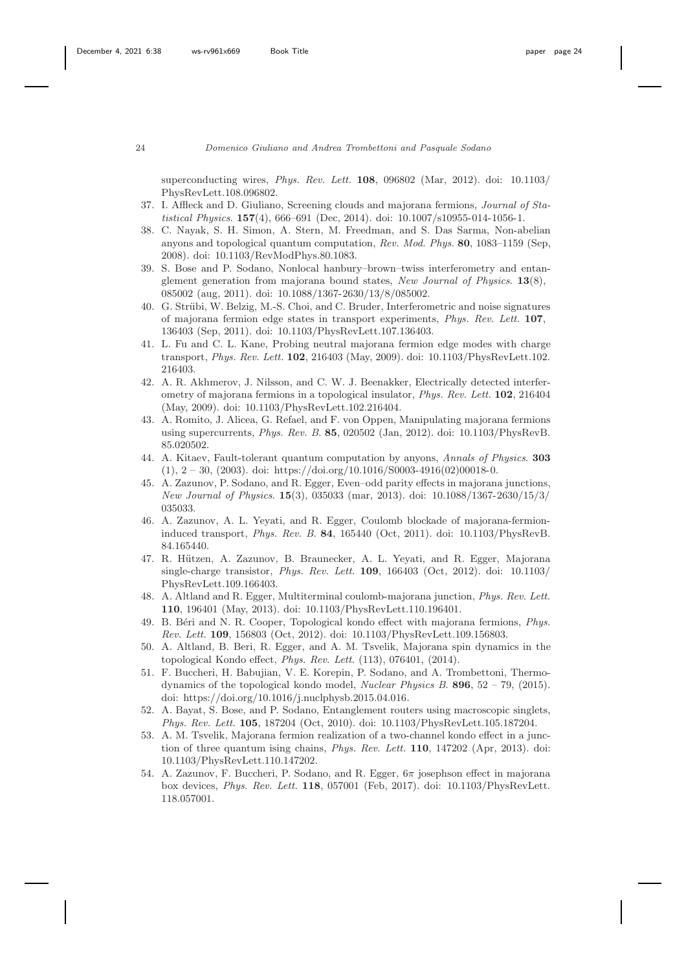superconducting wires, *Phys. Rev. Lett.* 108, 096802 (Mar, 2012). doi: 10.1103/ PhysRevLett.108.096802.

- <span id="page-23-0"></span>37. I. Affleck and D. Giuliano, Screening clouds and majorana fermions, *Journal of Statistical Physics*. 157(4), 666–691 (Dec, 2014). doi: 10.1007/s10955-014-1056-1.
- <span id="page-23-1"></span>38. C. Nayak, S. H. Simon, A. Stern, M. Freedman, and S. Das Sarma, Non-abelian anyons and topological quantum computation, *Rev. Mod. Phys.* 80, 1083–1159 (Sep, 2008). doi: 10.1103/RevModPhys.80.1083.
- <span id="page-23-2"></span>39. S. Bose and P. Sodano, Nonlocal hanbury–brown–twiss interferometry and entanglement generation from majorana bound states, *New Journal of Physics*. 13(8), 085002 (aug, 2011). doi: 10.1088/1367-2630/13/8/085002.
- <span id="page-23-3"></span>40. G. Strübi, W. Belzig, M.-S. Choi, and C. Bruder, Interferometric and noise signatures of majorana fermion edge states in transport experiments, *Phys. Rev. Lett.* 107, 136403 (Sep, 2011). doi: 10.1103/PhysRevLett.107.136403.
- <span id="page-23-4"></span>41. L. Fu and C. L. Kane, Probing neutral majorana fermion edge modes with charge transport, *Phys. Rev. Lett.* 102, 216403 (May, 2009). doi: 10.1103/PhysRevLett.102. 216403.
- 42. A. R. Akhmerov, J. Nilsson, and C. W. J. Beenakker, Electrically detected interferometry of majorana fermions in a topological insulator, *Phys. Rev. Lett.* 102, 216404 (May, 2009). doi: 10.1103/PhysRevLett.102.216404.
- 43. A. Romito, J. Alicea, G. Refael, and F. von Oppen, Manipulating majorana fermions using supercurrents, *Phys. Rev. B*. 85, 020502 (Jan, 2012). doi: 10.1103/PhysRevB. 85.020502.
- <span id="page-23-5"></span>44. A. Kitaev, Fault-tolerant quantum computation by anyons, *Annals of Physics*. 303  $(1), 2 - 30, (2003).$  doi: https://doi.org/10.1016/S0003-4916(02)00018-0.
- <span id="page-23-6"></span>45. A. Zazunov, P. Sodano, and R. Egger, Even–odd parity effects in majorana junctions, *New Journal of Physics*. 15(3), 035033 (mar, 2013). doi: 10.1088/1367-2630/15/3/ 035033.
- <span id="page-23-7"></span>46. A. Zazunov, A. L. Yeyati, and R. Egger, Coulomb blockade of majorana-fermioninduced transport, *Phys. Rev. B*. 84, 165440 (Oct, 2011). doi: 10.1103/PhysRevB. 84.165440.
- <span id="page-23-8"></span>47. R. Hützen, A. Zazunov, B. Braunecker, A. L. Yeyati, and R. Egger, Majorana single-charge transistor, *Phys. Rev. Lett.* 109, 166403 (Oct, 2012). doi: 10.1103/ PhysRevLett.109.166403.
- <span id="page-23-9"></span>48. A. Altland and R. Egger, Multiterminal coulomb-majorana junction, *Phys. Rev. Lett.* 110, 196401 (May, 2013). doi: 10.1103/PhysRevLett.110.196401.
- <span id="page-23-10"></span>49. B. B´eri and N. R. Cooper, Topological kondo effect with majorana fermions, *Phys. Rev. Lett.* 109, 156803 (Oct, 2012). doi: 10.1103/PhysRevLett.109.156803.
- <span id="page-23-11"></span>50. A. Altland, B. Beri, R. Egger, and A. M. Tsvelik, Majorana spin dynamics in the topological Kondo effect, *Phys. Rev. Lett.* (113), 076401, (2014).
- <span id="page-23-12"></span>51. F. Buccheri, H. Babujian, V. E. Korepin, P. Sodano, and A. Trombettoni, Thermodynamics of the topological kondo model, *Nuclear Physics B*. 896, 52 – 79, (2015). doi: https://doi.org/10.1016/j.nuclphysb.2015.04.016.
- <span id="page-23-13"></span>52. A. Bayat, S. Bose, and P. Sodano, Entanglement routers using macroscopic singlets, *Phys. Rev. Lett.* 105, 187204 (Oct, 2010). doi: 10.1103/PhysRevLett.105.187204.
- <span id="page-23-14"></span>53. A. M. Tsvelik, Majorana fermion realization of a two-channel kondo effect in a junction of three quantum ising chains, *Phys. Rev. Lett.* 110, 147202 (Apr, 2013). doi: 10.1103/PhysRevLett.110.147202.
- <span id="page-23-15"></span>54. A. Zazunov, F. Buccheri, P. Sodano, and R. Egger, 6π josephson effect in majorana box devices, *Phys. Rev. Lett.* 118, 057001 (Feb, 2017). doi: 10.1103/PhysRevLett. 118.057001.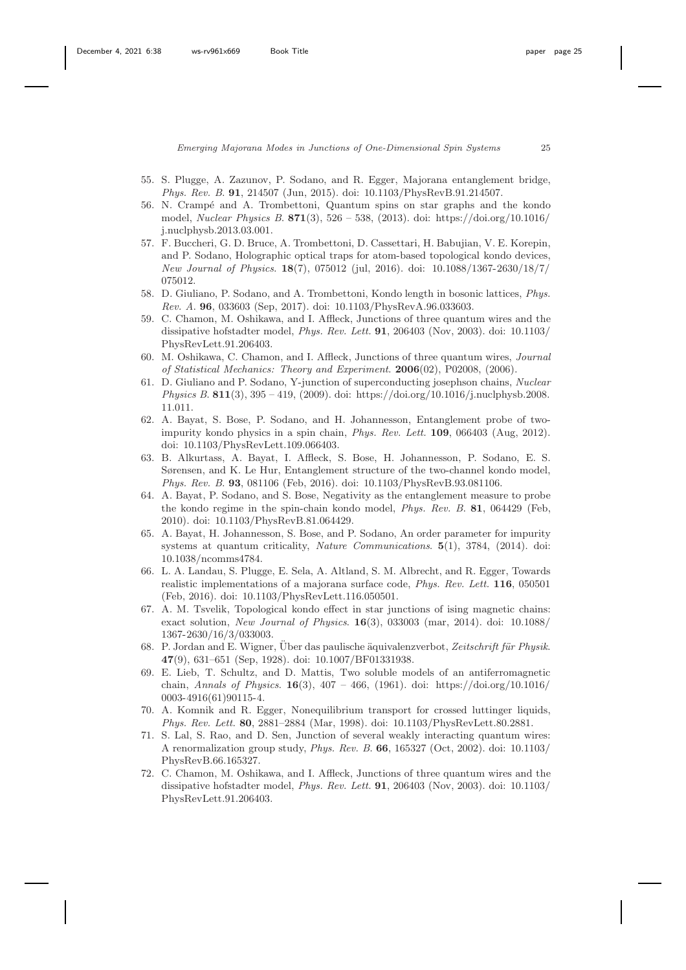- <span id="page-24-0"></span>55. S. Plugge, A. Zazunov, P. Sodano, and R. Egger, Majorana entanglement bridge, *Phys. Rev. B*. 91, 214507 (Jun, 2015). doi: 10.1103/PhysRevB.91.214507.
- <span id="page-24-1"></span>56. N. Crampé and A. Trombettoni, Quantum spins on star graphs and the kondo model, *Nuclear Physics B*. 871(3), 526 – 538, (2013). doi: https://doi.org/10.1016/ j.nuclphysb.2013.03.001.
- <span id="page-24-2"></span>57. F. Buccheri, G. D. Bruce, A. Trombettoni, D. Cassettari, H. Babujian, V. E. Korepin, and P. Sodano, Holographic optical traps for atom-based topological kondo devices, *New Journal of Physics*. 18(7), 075012 (jul, 2016). doi: 10.1088/1367-2630/18/7/ 075012.
- <span id="page-24-3"></span>58. D. Giuliano, P. Sodano, and A. Trombettoni, Kondo length in bosonic lattices, *Phys. Rev. A*. 96, 033603 (Sep, 2017). doi: 10.1103/PhysRevA.96.033603.
- <span id="page-24-4"></span>59. C. Chamon, M. Oshikawa, and I. Affleck, Junctions of three quantum wires and the dissipative hofstadter model, *Phys. Rev. Lett.* 91, 206403 (Nov, 2003). doi: 10.1103/ PhysRevLett.91.206403.
- 60. M. Oshikawa, C. Chamon, and I. Affleck, Junctions of three quantum wires, *Journal of Statistical Mechanics: Theory and Experiment*. 2006(02), P02008, (2006).
- <span id="page-24-5"></span>61. D. Giuliano and P. Sodano, Y-junction of superconducting josephson chains, *Nuclear Physics B*. 811(3), 395 – 419, (2009). doi: https://doi.org/10.1016/j.nuclphysb.2008. 11.011.
- <span id="page-24-6"></span>62. A. Bayat, S. Bose, P. Sodano, and H. Johannesson, Entanglement probe of twoimpurity kondo physics in a spin chain, *Phys. Rev. Lett.* 109, 066403 (Aug, 2012). doi: 10.1103/PhysRevLett.109.066403.
- <span id="page-24-7"></span>63. B. Alkurtass, A. Bayat, I. Affleck, S. Bose, H. Johannesson, P. Sodano, E. S. Sørensen, and K. Le Hur, Entanglement structure of the two-channel kondo model, *Phys. Rev. B*. 93, 081106 (Feb, 2016). doi: 10.1103/PhysRevB.93.081106.
- <span id="page-24-8"></span>64. A. Bayat, P. Sodano, and S. Bose, Negativity as the entanglement measure to probe the kondo regime in the spin-chain kondo model, *Phys. Rev. B*. 81, 064429 (Feb, 2010). doi: 10.1103/PhysRevB.81.064429.
- <span id="page-24-9"></span>65. A. Bayat, H. Johannesson, S. Bose, and P. Sodano, An order parameter for impurity systems at quantum criticality, *Nature Communications*. 5(1), 3784, (2014). doi: 10.1038/ncomms4784.
- <span id="page-24-10"></span>66. L. A. Landau, S. Plugge, E. Sela, A. Altland, S. M. Albrecht, and R. Egger, Towards realistic implementations of a majorana surface code, *Phys. Rev. Lett.* 116, 050501 (Feb, 2016). doi: 10.1103/PhysRevLett.116.050501.
- <span id="page-24-11"></span>67. A. M. Tsvelik, Topological kondo effect in star junctions of ising magnetic chains: exact solution, *New Journal of Physics*. 16(3), 033003 (mar, 2014). doi: 10.1088/ 1367-2630/16/3/033003.
- <span id="page-24-12"></span>68. P. Jordan and E. Wigner, Über das paulische äquivalenzverbot, Zeitschrift für Physik. 47(9), 631–651 (Sep, 1928). doi: 10.1007/BF01331938.
- <span id="page-24-13"></span>69. E. Lieb, T. Schultz, and D. Mattis, Two soluble models of an antiferromagnetic chain, *Annals of Physics*. 16(3), 407 – 466, (1961). doi: https://doi.org/10.1016/ 0003-4916(61)90115-4.
- <span id="page-24-14"></span>70. A. Komnik and R. Egger, Nonequilibrium transport for crossed luttinger liquids, *Phys. Rev. Lett.* 80, 2881–2884 (Mar, 1998). doi: 10.1103/PhysRevLett.80.2881.
- 71. S. Lal, S. Rao, and D. Sen, Junction of several weakly interacting quantum wires: A renormalization group study, *Phys. Rev. B*. 66, 165327 (Oct, 2002). doi: 10.1103/ PhysRevB.66.165327.
- 72. C. Chamon, M. Oshikawa, and I. Affleck, Junctions of three quantum wires and the dissipative hofstadter model, *Phys. Rev. Lett.* 91, 206403 (Nov, 2003). doi: 10.1103/ PhysRevLett.91.206403.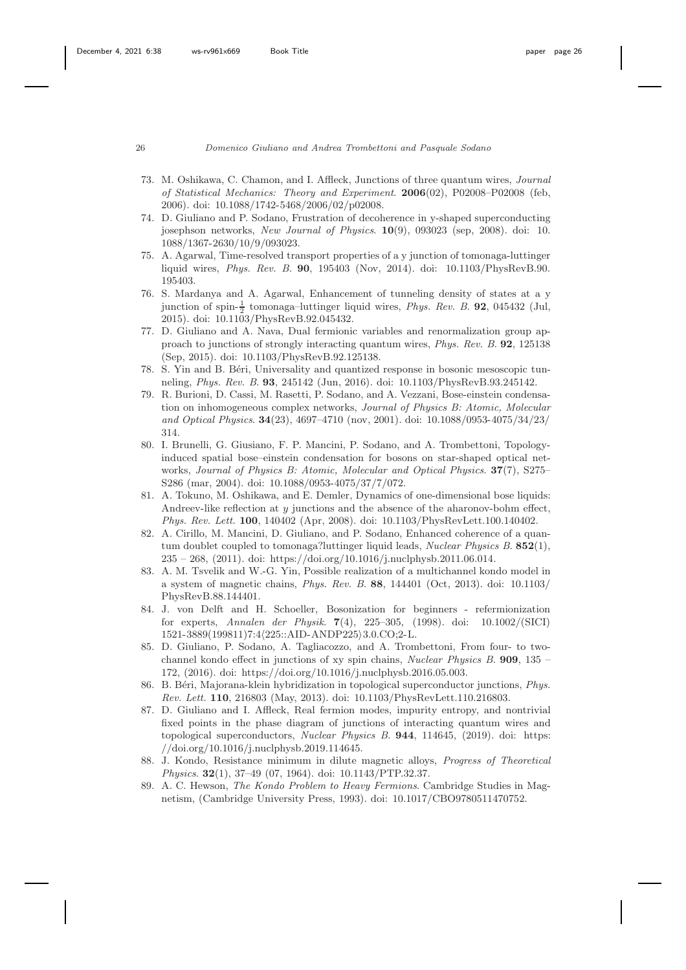- <span id="page-25-8"></span>73. M. Oshikawa, C. Chamon, and I. Affleck, Junctions of three quantum wires, *Journal of Statistical Mechanics: Theory and Experiment*. 2006(02), P02008–P02008 (feb, 2006). doi: 10.1088/1742-5468/2006/02/p02008.
- <span id="page-25-3"></span>74. D. Giuliano and P. Sodano, Frustration of decoherence in y-shaped superconducting josephson networks, *New Journal of Physics*. 10(9), 093023 (sep, 2008). doi: 10. 1088/1367-2630/10/9/093023.
- 75. A. Agarwal, Time-resolved transport properties of a y junction of tomonaga-luttinger liquid wires, *Phys. Rev. B*. 90, 195403 (Nov, 2014). doi: 10.1103/PhysRevB.90. 195403.
- 76. S. Mardanya and A. Agarwal, Enhancement of tunneling density of states at a y junction of spin- $\frac{1}{2}$  tomonaga-luttinger liquid wires, *Phys. Rev. B.* **92**, 045432 (Jul, 2015). doi: 10.1103/PhysRevB.92.045432.
- 77. D. Giuliano and A. Nava, Dual fermionic variables and renormalization group approach to junctions of strongly interacting quantum wires, *Phys. Rev. B*. 92, 125138 (Sep, 2015). doi: 10.1103/PhysRevB.92.125138.
- <span id="page-25-0"></span>78. S. Yin and B. Béri, Universality and quantized response in bosonic mesoscopic tunneling, *Phys. Rev. B*. 93, 245142 (Jun, 2016). doi: 10.1103/PhysRevB.93.245142.
- <span id="page-25-1"></span>79. R. Burioni, D. Cassi, M. Rasetti, P. Sodano, and A. Vezzani, Bose-einstein condensation on inhomogeneous complex networks, *Journal of Physics B: Atomic, Molecular and Optical Physics*. 34(23), 4697–4710 (nov, 2001). doi: 10.1088/0953-4075/34/23/ 314.
- 80. I. Brunelli, G. Giusiano, F. P. Mancini, P. Sodano, and A. Trombettoni, Topologyinduced spatial bose–einstein condensation for bosons on star-shaped optical networks, *Journal of Physics B: Atomic, Molecular and Optical Physics*. 37(7), S275– S286 (mar, 2004). doi: 10.1088/0953-4075/37/7/072.
- <span id="page-25-2"></span>81. A. Tokuno, M. Oshikawa, and E. Demler, Dynamics of one-dimensional bose liquids: Andreev-like reflection at  $y$  junctions and the absence of the aharonov-bohm effect, *Phys. Rev. Lett.* 100, 140402 (Apr, 2008). doi: 10.1103/PhysRevLett.100.140402.
- <span id="page-25-4"></span>82. A. Cirillo, M. Mancini, D. Giuliano, and P. Sodano, Enhanced coherence of a quantum doublet coupled to tomonaga?luttinger liquid leads, *Nuclear Physics B*. 852(1), 235 – 268, (2011). doi: https://doi.org/10.1016/j.nuclphysb.2011.06.014.
- <span id="page-25-5"></span>83. A. M. Tsvelik and W.-G. Yin, Possible realization of a multichannel kondo model in a system of magnetic chains, *Phys. Rev. B*. 88, 144401 (Oct, 2013). doi: 10.1103/ PhysRevB.88.144401.
- <span id="page-25-6"></span>84. J. von Delft and H. Schoeller, Bosonization for beginners - refermionization for experts, *Annalen der Physik*. 7(4), 225–305, (1998). doi: 10.1002/(SICI)  $1521 - 3889(199811)7 \\ \textrm{:}4\langle 225 \textrm{:}A\mathrm{ID}\text{-} \mathrm{ANDP225}\rangle \\ \textrm{3.0.CO}; 2\text{-L}.$
- <span id="page-25-7"></span>85. D. Giuliano, P. Sodano, A. Tagliacozzo, and A. Trombettoni, From four- to twochannel kondo effect in junctions of xy spin chains, *Nuclear Physics B*. 909, 135 – 172, (2016). doi: https://doi.org/10.1016/j.nuclphysb.2016.05.003.
- <span id="page-25-9"></span>86. B. B´eri, Majorana-klein hybridization in topological superconductor junctions, *Phys. Rev. Lett.* 110, 216803 (May, 2013). doi: 10.1103/PhysRevLett.110.216803.
- <span id="page-25-10"></span>87. D. Giuliano and I. Affleck, Real fermion modes, impurity entropy, and nontrivial fixed points in the phase diagram of junctions of interacting quantum wires and topological superconductors, *Nuclear Physics B*. 944, 114645, (2019). doi: https: //doi.org/10.1016/j.nuclphysb.2019.114645.
- <span id="page-25-11"></span>88. J. Kondo, Resistance minimum in dilute magnetic alloys, *Progress of Theoretical Physics*. 32(1), 37–49 (07, 1964). doi: 10.1143/PTP.32.37.
- <span id="page-25-12"></span>89. A. C. Hewson, *The Kondo Problem to Heavy Fermions*. Cambridge Studies in Magnetism, (Cambridge University Press, 1993). doi: 10.1017/CBO9780511470752.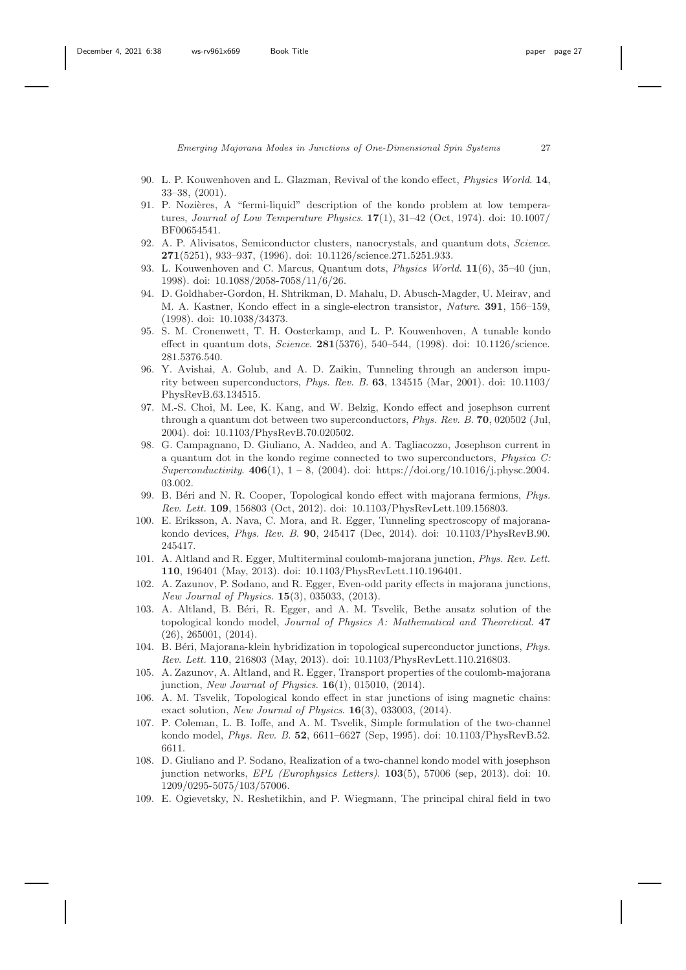- <span id="page-26-0"></span>90. L. P. Kouwenhoven and L. Glazman, Revival of the kondo effect, *Physics World*. 14, 33–38, (2001).
- <span id="page-26-1"></span>91. P. Nozières, A "fermi-liquid" description of the kondo problem at low temperatures, *Journal of Low Temperature Physics*. 17(1), 31–42 (Oct, 1974). doi: 10.1007/ BF00654541.
- <span id="page-26-2"></span>92. A. P. Alivisatos, Semiconductor clusters, nanocrystals, and quantum dots, *Science*. 271(5251), 933–937, (1996). doi: 10.1126/science.271.5251.933.
- 93. L. Kouwenhoven and C. Marcus, Quantum dots, *Physics World*. 11(6), 35–40 (jun, 1998). doi: 10.1088/2058-7058/11/6/26.
- 94. D. Goldhaber-Gordon, H. Shtrikman, D. Mahalu, D. Abusch-Magder, U. Meirav, and M. A. Kastner, Kondo effect in a single-electron transistor, *Nature*. 391, 156–159, (1998). doi: 10.1038/34373.
- <span id="page-26-3"></span>95. S. M. Cronenwett, T. H. Oosterkamp, and L. P. Kouwenhoven, A tunable kondo effect in quantum dots, *Science*. 281(5376), 540–544, (1998). doi: 10.1126/science. 281.5376.540.
- <span id="page-26-4"></span>96. Y. Avishai, A. Golub, and A. D. Zaikin, Tunneling through an anderson impurity between superconductors, *Phys. Rev. B*. 63, 134515 (Mar, 2001). doi: 10.1103/ PhysRevB.63.134515.
- 97. M.-S. Choi, M. Lee, K. Kang, and W. Belzig, Kondo effect and josephson current through a quantum dot between two superconductors, *Phys. Rev. B*. 70, 020502 (Jul, 2004). doi: 10.1103/PhysRevB.70.020502.
- <span id="page-26-5"></span>98. G. Campagnano, D. Giuliano, A. Naddeo, and A. Tagliacozzo, Josephson current in a quantum dot in the kondo regime connected to two superconductors, *Physica C: Superconductivity*. 406(1), 1 – 8, (2004). doi: https://doi.org/10.1016/j.physc.2004. 03.002.
- <span id="page-26-6"></span>99. B. Béri and N. R. Cooper, Topological kondo effect with majorana fermions, *Phys. Rev. Lett.* 109, 156803 (Oct, 2012). doi: 10.1103/PhysRevLett.109.156803.
- <span id="page-26-7"></span>100. E. Eriksson, A. Nava, C. Mora, and R. Egger, Tunneling spectroscopy of majoranakondo devices, *Phys. Rev. B*. 90, 245417 (Dec, 2014). doi: 10.1103/PhysRevB.90. 245417.
- <span id="page-26-8"></span>101. A. Altland and R. Egger, Multiterminal coulomb-majorana junction, *Phys. Rev. Lett.* 110, 196401 (May, 2013). doi: 10.1103/PhysRevLett.110.196401.
- <span id="page-26-9"></span>102. A. Zazunov, P. Sodano, and R. Egger, Even-odd parity effects in majorana junctions, *New Journal of Physics*. 15(3), 035033, (2013).
- <span id="page-26-10"></span>103. A. Altland, B. Béri, R. Egger, and A. M. Tsvelik, Bethe ansatz solution of the topological kondo model, *Journal of Physics A: Mathematical and Theoretical*. 47 (26), 265001, (2014).
- <span id="page-26-11"></span>104. B. B´eri, Majorana-klein hybridization in topological superconductor junctions, *Phys. Rev. Lett.* 110, 216803 (May, 2013). doi: 10.1103/PhysRevLett.110.216803.
- <span id="page-26-12"></span>105. A. Zazunov, A. Altland, and R. Egger, Transport properties of the coulomb-majorana junction, *New Journal of Physics*. 16(1), 015010, (2014).
- <span id="page-26-13"></span>106. A. M. Tsvelik, Topological kondo effect in star junctions of ising magnetic chains: exact solution, *New Journal of Physics*. 16(3), 033003, (2014).
- <span id="page-26-14"></span>107. P. Coleman, L. B. Ioffe, and A. M. Tsvelik, Simple formulation of the two-channel kondo model, *Phys. Rev. B*. 52, 6611–6627 (Sep, 1995). doi: 10.1103/PhysRevB.52. 6611.
- <span id="page-26-15"></span>108. D. Giuliano and P. Sodano, Realization of a two-channel kondo model with josephson junction networks, *EPL (Europhysics Letters)*. 103(5), 57006 (sep, 2013). doi: 10. 1209/0295-5075/103/57006.
- <span id="page-26-16"></span>109. E. Ogievetsky, N. Reshetikhin, and P. Wiegmann, The principal chiral field in two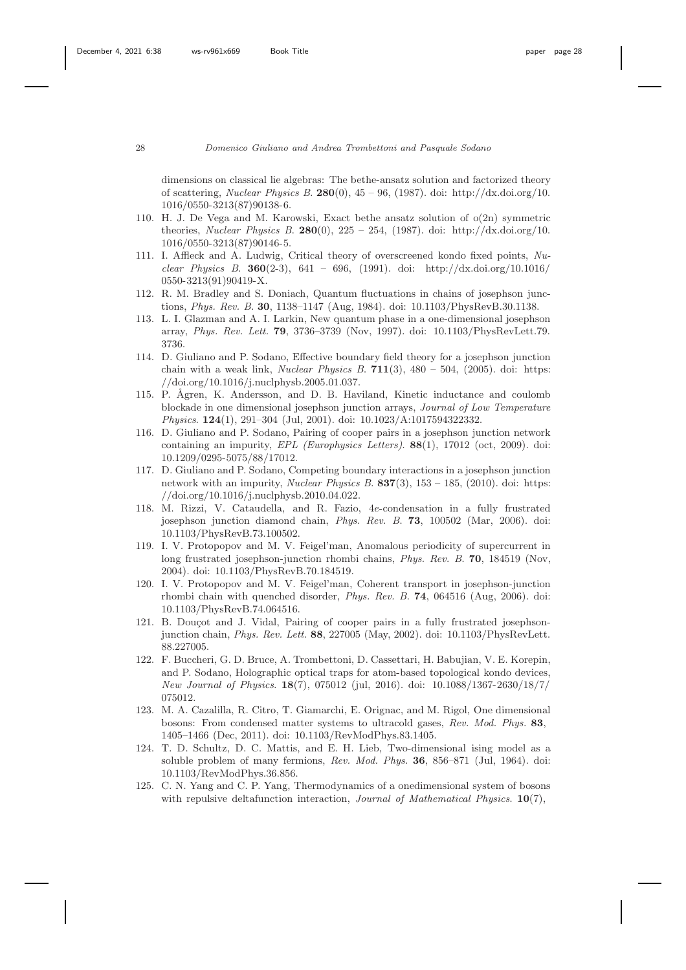dimensions on classical lie algebras: The bethe-ansatz solution and factorized theory of scattering, *Nuclear Physics B*. 280(0), 45 – 96, (1987). doi: http://dx.doi.org/10. 1016/0550-3213(87)90138-6.

- <span id="page-27-0"></span>110. H. J. De Vega and M. Karowski, Exact bethe ansatz solution of o(2n) symmetric theories, *Nuclear Physics B*. 280(0), 225 – 254, (1987). doi: http://dx.doi.org/10. 1016/0550-3213(87)90146-5.
- <span id="page-27-1"></span>111. I. Affleck and A. Ludwig, Critical theory of overscreened kondo fixed points, *Nuclear Physics B*. 360(2-3), 641 – 696, (1991). doi: http://dx.doi.org/10.1016/ 0550-3213(91)90419-X.
- <span id="page-27-2"></span>112. R. M. Bradley and S. Doniach, Quantum fluctuations in chains of josephson junctions, *Phys. Rev. B*. 30, 1138–1147 (Aug, 1984). doi: 10.1103/PhysRevB.30.1138.
- <span id="page-27-4"></span>113. L. I. Glazman and A. I. Larkin, New quantum phase in a one-dimensional josephson array, *Phys. Rev. Lett.* 79, 3736–3739 (Nov, 1997). doi: 10.1103/PhysRevLett.79. 3736.
- <span id="page-27-3"></span>114. D. Giuliano and P. Sodano, Effective boundary field theory for a josephson junction chain with a weak link, *Nuclear Physics B*. 711(3), 480 – 504, (2005). doi: https: //doi.org/10.1016/j.nuclphysb.2005.01.037.
- <span id="page-27-5"></span>115. P. Ågren, K. Andersson, and D. B. Haviland, Kinetic inductance and coulomb blockade in one dimensional josephson junction arrays, *Journal of Low Temperature Physics*. 124(1), 291–304 (Jul, 2001). doi: 10.1023/A:1017594322332.
- <span id="page-27-6"></span>116. D. Giuliano and P. Sodano, Pairing of cooper pairs in a josephson junction network containing an impurity, *EPL (Europhysics Letters)*. 88(1), 17012 (oct, 2009). doi: 10.1209/0295-5075/88/17012.
- <span id="page-27-7"></span>117. D. Giuliano and P. Sodano, Competing boundary interactions in a josephson junction network with an impurity, *Nuclear Physics B*. 837(3), 153 – 185, (2010). doi: https: //doi.org/10.1016/j.nuclphysb.2010.04.022.
- <span id="page-27-8"></span>118. M. Rizzi, V. Cataudella, and R. Fazio, 4e-condensation in a fully frustrated josephson junction diamond chain, *Phys. Rev. B*. 73, 100502 (Mar, 2006). doi: 10.1103/PhysRevB.73.100502.
- 119. I. V. Protopopov and M. V. Feigel'man, Anomalous periodicity of supercurrent in long frustrated josephson-junction rhombi chains, *Phys. Rev. B*. 70, 184519 (Nov, 2004). doi: 10.1103/PhysRevB.70.184519.
- <span id="page-27-9"></span>120. I. V. Protopopov and M. V. Feigel'man, Coherent transport in josephson-junction rhombi chain with quenched disorder, *Phys. Rev. B*. 74, 064516 (Aug, 2006). doi: 10.1103/PhysRevB.74.064516.
- <span id="page-27-10"></span>121. B. Douçot and J. Vidal, Pairing of cooper pairs in a fully frustrated josephsonjunction chain, *Phys. Rev. Lett.* 88, 227005 (May, 2002). doi: 10.1103/PhysRevLett. 88.227005.
- <span id="page-27-11"></span>122. F. Buccheri, G. D. Bruce, A. Trombettoni, D. Cassettari, H. Babujian, V. E. Korepin, and P. Sodano, Holographic optical traps for atom-based topological kondo devices, *New Journal of Physics*. 18(7), 075012 (jul, 2016). doi: 10.1088/1367-2630/18/7/ 075012.
- <span id="page-27-12"></span>123. M. A. Cazalilla, R. Citro, T. Giamarchi, E. Orignac, and M. Rigol, One dimensional bosons: From condensed matter systems to ultracold gases, *Rev. Mod. Phys.* 83, 1405–1466 (Dec, 2011). doi: 10.1103/RevModPhys.83.1405.
- <span id="page-27-13"></span>124. T. D. Schultz, D. C. Mattis, and E. H. Lieb, Two-dimensional ising model as a soluble problem of many fermions, *Rev. Mod. Phys.* 36, 856–871 (Jul, 1964). doi: 10.1103/RevModPhys.36.856.
- 125. C. N. Yang and C. P. Yang, Thermodynamics of a onedimensional system of bosons with repulsive deltafunction interaction, *Journal of Mathematical Physics*. 10(7),